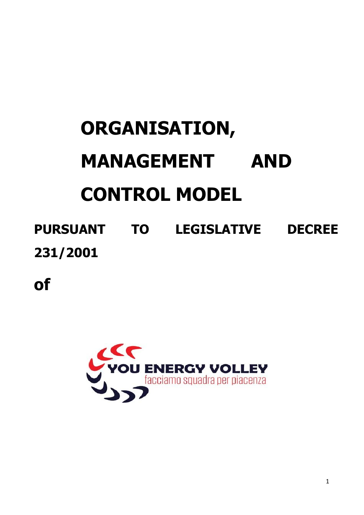# **ORGANISATION, MANAGEMENT AND CONTROL MODEL**

# **PURSUANT TO LEGISLATIVE DECREE 231/2001**

**of**

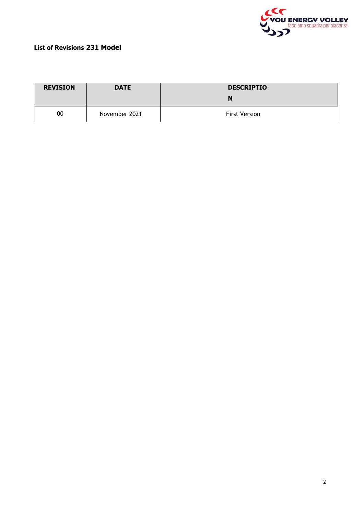

#### **List of Revisions 231 Model**

| <b>REVISION</b> | <b>DATE</b>   | <b>DESCRIPTIO</b>    |
|-----------------|---------------|----------------------|
|                 |               | N                    |
| 00              | November 2021 | <b>First Version</b> |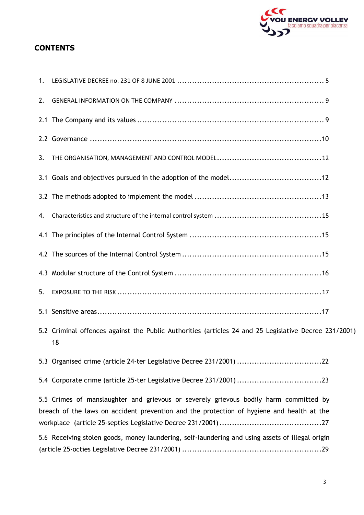

#### **CONTENTS**

| 1.  |                                                                                                                                                                                    |
|-----|------------------------------------------------------------------------------------------------------------------------------------------------------------------------------------|
| 2.  |                                                                                                                                                                                    |
|     |                                                                                                                                                                                    |
|     |                                                                                                                                                                                    |
| 3.  |                                                                                                                                                                                    |
|     |                                                                                                                                                                                    |
|     |                                                                                                                                                                                    |
| 4.  |                                                                                                                                                                                    |
|     |                                                                                                                                                                                    |
|     |                                                                                                                                                                                    |
|     |                                                                                                                                                                                    |
| 5.  |                                                                                                                                                                                    |
| 5.1 |                                                                                                                                                                                    |
|     | 5.2 Criminal offences against the Public Authorities (articles 24 and 25 Legislative Decree 231/2001)<br>18                                                                        |
|     | 5.3 Organised crime (article 24-ter Legislative Decree 231/2001) 22                                                                                                                |
|     |                                                                                                                                                                                    |
|     | 5.5 Crimes of manslaughter and grievous or severely grievous bodily harm committed by<br>breach of the laws on accident prevention and the protection of hygiene and health at the |
|     | 5.6 Receiving stolen goods, money laundering, self-laundering and using assets of illegal origin                                                                                   |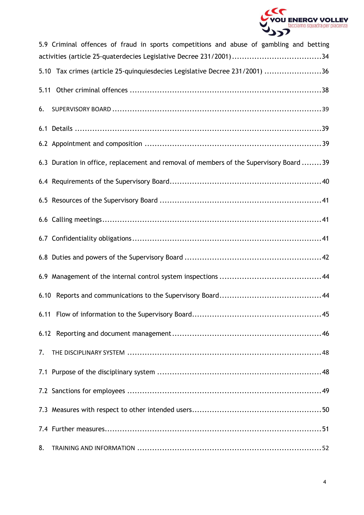

| 5.9 Criminal offences of fraud in sports competitions and abuse of gambling and betting |  |
|-----------------------------------------------------------------------------------------|--|
| 5.10 Tax crimes (article 25-quinquiesdecies Legislative Decree 231/2001) 36             |  |
|                                                                                         |  |
| 6.                                                                                      |  |
|                                                                                         |  |
|                                                                                         |  |
| 6.3 Duration in office, replacement and removal of members of the Supervisory Board 39  |  |
|                                                                                         |  |
|                                                                                         |  |
|                                                                                         |  |
|                                                                                         |  |
|                                                                                         |  |
|                                                                                         |  |
|                                                                                         |  |
|                                                                                         |  |
|                                                                                         |  |
| 7.                                                                                      |  |
|                                                                                         |  |
|                                                                                         |  |
|                                                                                         |  |
|                                                                                         |  |
| 8.                                                                                      |  |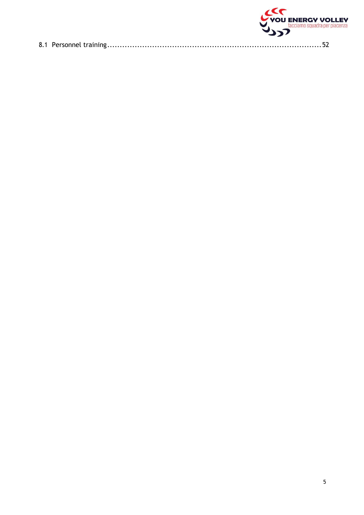|  | <b>VOU ENERGY VOLLEY</b> |
|--|--------------------------|
|  |                          |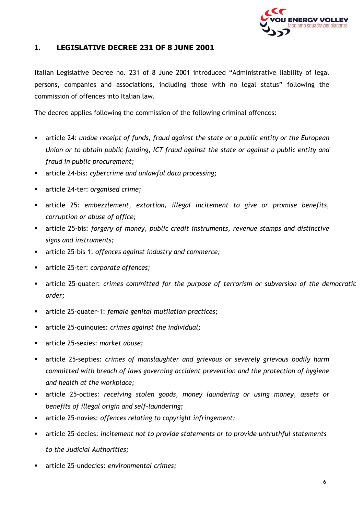

#### <span id="page-5-0"></span>**1. LEGISLATIVE DECREE 231 OF 8 JUNE 2001**

Italian Legislative Decree no. 231 of 8 June 2001 introduced "Administrative liability of legal persons, companies and associations, including those with no legal status" following the commission of offences into Italian law.

The decree applies following the commission of the following criminal offences:

- article 24: *undue receipt of funds, fraud against the state or a public entity or the European Union or to obtain public funding, ICT fraud against the state or against a public entity and fraud in public procurement;*
- article 24-bis: *cybercrime and unlawful data processing;*
- article 24-ter: *organised crime;*
- article 25: *embezzlement, extortion, illegal incitement to give or promise benefits, corruption or abuse of office;*
- article 25-bis: *forgery of money, public credit instruments, revenue stamps and distinctive signs and instruments;*
- article 25-bis 1: *offences against industry and commerce;*
- article 25-ter: *corporate offences;*
- article 25-quater: *crimes committed for the purpose of terrorism or subversion of the democratic order;*
- article 25-quater-1: *female genital mutilation practices;*
- article 25-quinquies: *crimes against the individual;*
- article 25-sexies: *market abuse;*
- article 25-septies: *crimes of manslaughter and grievous or severely grievous bodily harm committed with breach of laws governing accident prevention and the protection of hygiene and health at the workplace;*
- article 25-octies: *receiving stolen goods, money laundering or using money, assets or benefits of illegal origin and self-laundering;*
- article 25-novies: *offences relating to copyright infringement;*
- article 25-decies: *incitement not to provide statements or to provide untruthful statements to the Judicial Authorities;*
- article 25-undecies: *environmental crimes;*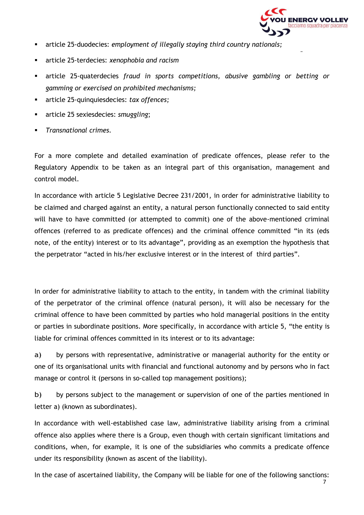

- article 25-duodecies: *employment of illegally staying third country nationals;*
- article 25-terdecies: *xenophobia and racism*
- article 25-quaterdecies *fraud in sports competitions, abusive gambling or betting or gamming or exercised on prohibited mechanisms;*
- article 25-quinquiesdecies: *tax offences;*
- article 25 sexiesdecies: *smuggling*;
- *Transnational crimes.*

For a more complete and detailed examination of predicate offences, please refer to the Regulatory Appendix to be taken as an integral part of this organisation, management and control model.

In accordance with article 5 Legislative Decree 231/2001, in order for administrative liability to be claimed and charged against an entity, a natural person functionally connected to said entity will have to have committed (or attempted to commit) one of the above-mentioned criminal offences (referred to as predicate offences) and the criminal offence committed "in its (eds note, of the entity) interest or to its advantage", providing as an exemption the hypothesis that the perpetrator "acted in his/her exclusive interest or in the interest of third parties".

In order for administrative liability to attach to the entity, in tandem with the criminal liability of the perpetrator of the criminal offence (natural person), it will also be necessary for the criminal offence to have been committed by parties who hold managerial positions in the entity or parties in subordinate positions. More specifically, in accordance with article 5, "the entity is liable for criminal offences committed in its interest or to its advantage:

a) by persons with representative, administrative or managerial authority for the entity or one of its organisational units with financial and functional autonomy and by persons who in fact manage or control it (persons in so-called top management positions);

b) by persons subject to the management or supervision of one of the parties mentioned in letter a) (known as subordinates).

In accordance with well-established case law, administrative liability arising from a criminal offence also applies where there is a Group, even though with certain significant limitations and conditions, when, for example, it is one of the subsidiaries who commits a predicate offence under its responsibility (known as ascent of the liability).

In the case of ascertained liability, the Company will be liable for one of the following sanctions: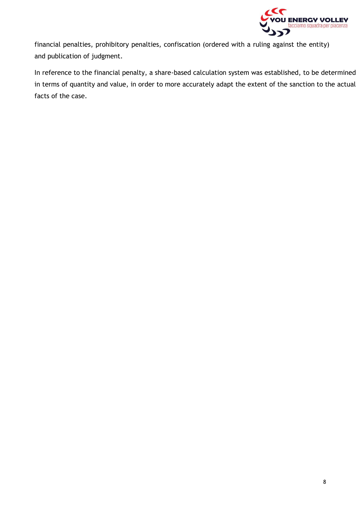

financial penalties, prohibitory penalties, confiscation (ordered with a ruling against the entity) and publication of judgment.

In reference to the financial penalty, a share-based calculation system was established, to be determined in terms of quantity and value, in order to more accurately adapt the extent of the sanction to the actual facts of the case.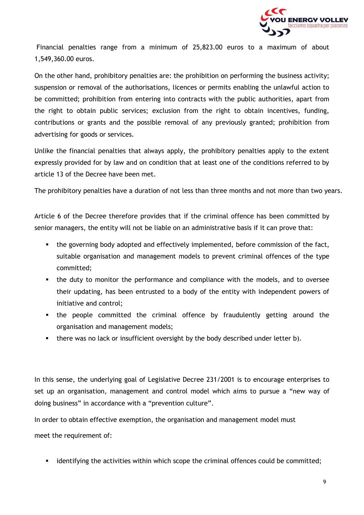

Financial penalties range from a minimum of 25,823.00 euros to a maximum of about 1,549,360.00 euros.

On the other hand, prohibitory penalties are: the prohibition on performing the business activity; suspension or removal of the authorisations, licences or permits enabling the unlawful action to be committed; prohibition from entering into contracts with the public authorities, apart from the right to obtain public services; exclusion from the right to obtain incentives, funding, contributions or grants and the possible removal of any previously granted; prohibition from advertising for goods or services.

Unlike the financial penalties that always apply, the prohibitory penalties apply to the extent expressly provided for by law and on condition that at least one of the conditions referred to by article 13 of the Decree have been met.

The prohibitory penalties have a duration of not less than three months and not more than two years.

Article 6 of the Decree therefore provides that if the criminal offence has been committed by senior managers, the entity will not be liable on an administrative basis if it can prove that:

- the governing body adopted and effectively implemented, before commission of the fact, suitable organisation and management models to prevent criminal offences of the type committed;
- the duty to monitor the performance and compliance with the models, and to oversee their updating, has been entrusted to a body of the entity with independent powers of initiative and control;
- the people committed the criminal offence by fraudulently getting around the organisation and management models;
- there was no lack or insufficient oversight by the body described under letter b).

In this sense, the underlying goal of Legislative Decree 231/2001 is to encourage enterprises to set up an organisation, management and control model which aims to pursue a "new way of doing business" in accordance with a "prevention culture".

In order to obtain effective exemption, the organisation and management model must

meet the requirement of:

**■** identifying the activities within which scope the criminal offences could be committed;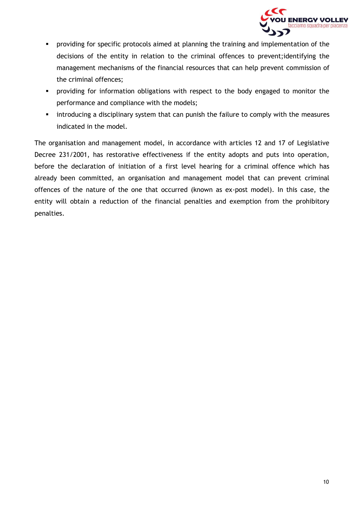

- **•** providing for specific protocols aimed at planning the training and implementation of the decisions of the entity in relation to the criminal offences to prevent;identifying the management mechanisms of the financial resources that can help prevent commission of the criminal offences;
- **•** providing for information obligations with respect to the body engaged to monitor the performance and compliance with the models;
- **•** introducing a disciplinary system that can punish the failure to comply with the measures indicated in the model.

The organisation and management model, in accordance with articles 12 and 17 of Legislative Decree 231/2001, has restorative effectiveness if the entity adopts and puts into operation, before the declaration of initiation of a first level hearing for a criminal offence which has already been committed, an organisation and management model that can prevent criminal offences of the nature of the one that occurred (known as ex-post model). In this case, the entity will obtain a reduction of the financial penalties and exemption from the prohibitory penalties.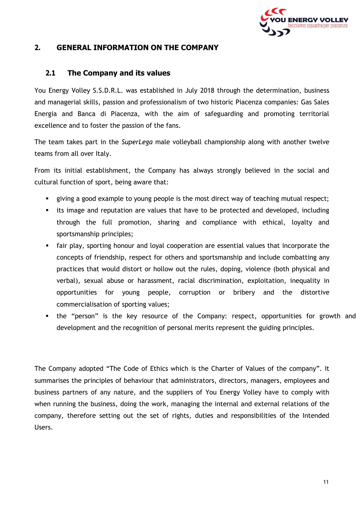

#### <span id="page-10-0"></span>**2. GENERAL INFORMATION ON THE COMPANY**

#### **2.1 The Company and its values**

<span id="page-10-1"></span>You Energy Volley S.S.D.R.L. was established in July 2018 through the determination, business and managerial skills, passion and professionalism of two historic Piacenza companies: Gas Sales Energia and Banca di Piacenza, with the aim of safeguarding and promoting territorial excellence and to foster the passion of the fans.

The team takes part in the *SuperLega* male volleyball championship along with another twelve teams from all over Italy.

From its initial establishment, the Company has always strongly believed in the social and cultural function of sport, being aware that:

- giving a good example to young people is the most direct way of teaching mutual respect;
- **EXT** its image and reputation are values that have to be protected and developed, including through the full promotion, sharing and compliance with ethical, loyalty and sportsmanship principles;
- fair play, sporting honour and loyal cooperation are essential values that incorporate the concepts of friendship, respect for others and sportsmanship and include combatting any practices that would distort or hollow out the rules, doping, violence (both physical and verbal), sexual abuse or harassment, racial discrimination, exploitation, inequality in opportunities for young people, corruption or bribery and the distortive commercialisation of sporting values;
- the "person" is the key resource of the Company: respect, opportunities for growth and development and the recognition of personal merits represent the guiding principles.

The Company adopted "The Code of Ethics which is the Charter of Values of the company". It summarises the principles of behaviour that administrators, directors, managers, employees and business partners of any nature, and the suppliers of You Energy Volley have to comply with when running the business, doing the work, managing the internal and external relations of the company, therefore setting out the set of rights, duties and responsibilities of the Intended Users.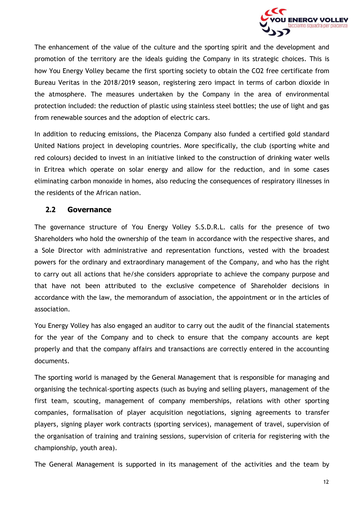

The enhancement of the value of the culture and the sporting spirit and the development and promotion of the territory are the ideals guiding the Company in its strategic choices. This is how You Energy Volley became the first sporting society to obtain the CO2 free certificate from Bureau Veritas in the 2018/2019 season, registering zero impact in terms of carbon dioxide in the atmosphere. The measures undertaken by the Company in the area of environmental protection included: the reduction of plastic using stainless steel bottles; the use of light and gas from renewable sources and the adoption of electric cars.

In addition to reducing emissions, the Piacenza Company also funded a certified gold standard United Nations project in developing countries. More specifically, the club (sporting white and red colours) decided to invest in an initiative linked to the construction of drinking water wells in Eritrea which operate on solar energy and allow for the reduction, and in some cases eliminating carbon monoxide in homes, also reducing the consequences of respiratory illnesses in the residents of the African nation.

#### **2.2 Governance**

<span id="page-11-0"></span>The governance structure of You Energy Volley S.S.D.R.L. calls for the presence of two Shareholders who hold the ownership of the team in accordance with the respective shares, and a Sole Director with administrative and representation functions, vested with the broadest powers for the ordinary and extraordinary management of the Company, and who has the right to carry out all actions that he/she considers appropriate to achieve the company purpose and that have not been attributed to the exclusive competence of Shareholder decisions in accordance with the law, the memorandum of association, the appointment or in the articles of association.

You Energy Volley has also engaged an auditor to carry out the audit of the financial statements for the year of the Company and to check to ensure that the company accounts are kept properly and that the company affairs and transactions are correctly entered in the accounting documents.

The sporting world is managed by the General Management that is responsible for managing and organising the technical-sporting aspects (such as buying and selling players, management of the first team, scouting, management of company memberships, relations with other sporting companies, formalisation of player acquisition negotiations, signing agreements to transfer players, signing player work contracts (sporting services), management of travel, supervision of the organisation of training and training sessions, supervision of criteria for registering with the championship, youth area).

The General Management is supported in its management of the activities and the team by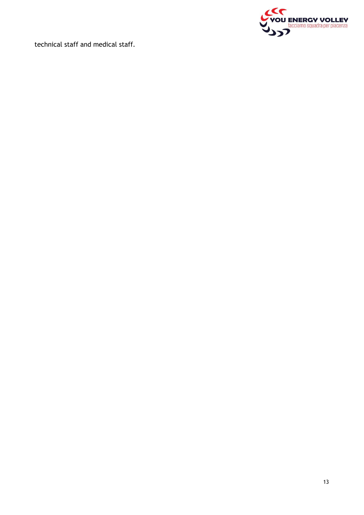

technical staff and medical staff.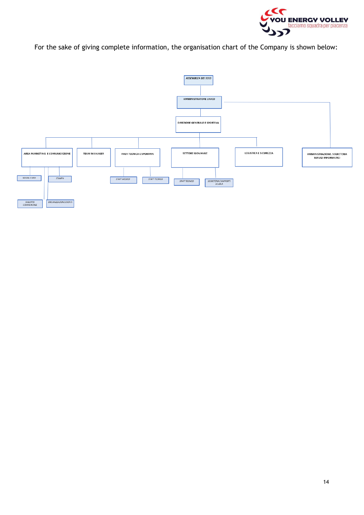

For the sake of giving complete information, the organisation chart of the Company is shown below:

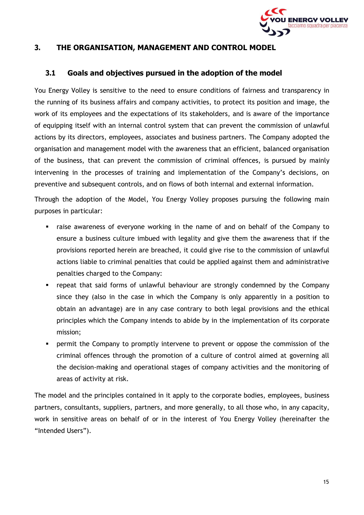

#### <span id="page-14-0"></span>**3. THE ORGANISATION, MANAGEMENT AND CONTROL MODEL**

#### **3.1 Goals and objectives pursued in the adoption of the model**

<span id="page-14-1"></span>You Energy Volley is sensitive to the need to ensure conditions of fairness and transparency in the running of its business affairs and company activities, to protect its position and image, the work of its employees and the expectations of its stakeholders, and is aware of the importance of equipping itself with an internal control system that can prevent the commission of unlawful actions by its directors, employees, associates and business partners. The Company adopted the organisation and management model with the awareness that an efficient, balanced organisation of the business, that can prevent the commission of criminal offences, is pursued by mainly intervening in the processes of training and implementation of the Company's decisions, on preventive and subsequent controls, and on flows of both internal and external information.

Through the adoption of the Model, You Energy Volley proposes pursuing the following main purposes in particular:

- raise awareness of everyone working in the name of and on behalf of the Company to ensure a business culture imbued with legality and give them the awareness that if the provisions reported herein are breached, it could give rise to the commission of unlawful actions liable to criminal penalties that could be applied against them and administrative penalties charged to the Company:
- repeat that said forms of unlawful behaviour are strongly condemned by the Company since they (also in the case in which the Company is only apparently in a position to obtain an advantage) are in any case contrary to both legal provisions and the ethical principles which the Company intends to abide by in the implementation of its corporate mission;
- **•** permit the Company to promptly intervene to prevent or oppose the commission of the criminal offences through the promotion of a culture of control aimed at governing all the decision-making and operational stages of company activities and the monitoring of areas of activity at risk.

The model and the principles contained in it apply to the corporate bodies, employees, business partners, consultants, suppliers, partners, and more generally, to all those who, in any capacity, work in sensitive areas on behalf of or in the interest of You Energy Volley (hereinafter the "Intended Users").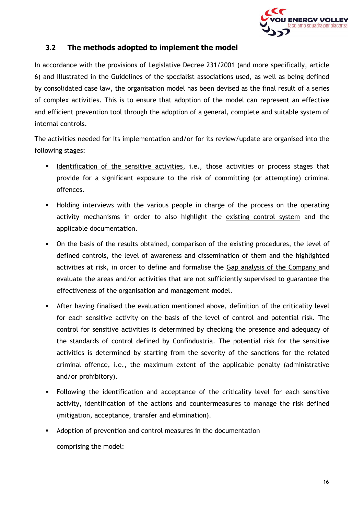

#### **3.2 The methods adopted to implement the model**

<span id="page-15-0"></span>In accordance with the provisions of Legislative Decree 231/2001 (and more specifically, article 6) and illustrated in the Guidelines of the specialist associations used, as well as being defined by consolidated case law, the organisation model has been devised as the final result of a series of complex activities. This is to ensure that adoption of the model can represent an effective and efficient prevention tool through the adoption of a general, complete and suitable system of internal controls.

The activities needed for its implementation and/or for its review/update are organised into the following stages:

- **■** Identification of the sensitive activities, i.e., those activities or process stages that provide for a significant exposure to the risk of committing (or attempting) criminal offences.
- **•** Holding interviews with the various people in charge of the process on the operating activity mechanisms in order to also highlight the existing control system and the applicable documentation.
- On the basis of the results obtained, comparison of the existing procedures, the level of defined controls, the level of awareness and dissemination of them and the highlighted activities at risk, in order to define and formalise the Gap analysis of the Company and evaluate the areas and/or activities that are not sufficiently supervised to guarantee the effectiveness of the organisation and management model.
- **EXECT** After having finalised the evaluation mentioned above, definition of the criticality level for each sensitive activity on the basis of the level of control and potential risk. The control for sensitive activities is determined by checking the presence and adequacy of the standards of control defined by Confindustria. The potential risk for the sensitive activities is determined by starting from the severity of the sanctions for the related criminal offence, i.e., the maximum extent of the applicable penalty (administrative and/or prohibitory).
- **•** Following the identification and acceptance of the criticality level for each sensitive activity, identification of the actions and countermeasures to manage the risk defined (mitigation, acceptance, transfer and elimination).
- Adoption of prevention and control measures in the documentation comprising the model: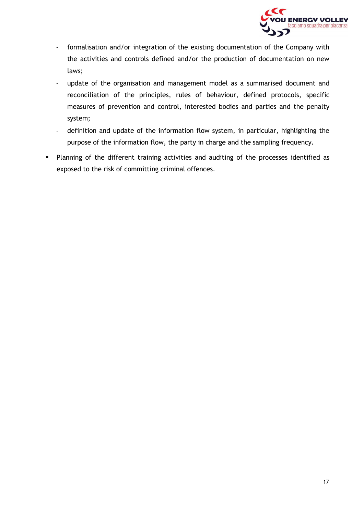

- formalisation and/or integration of the existing documentation of the Company with the activities and controls defined and/or the production of documentation on new laws;
- update of the organisation and management model as a summarised document and reconciliation of the principles, rules of behaviour, defined protocols, specific measures of prevention and control, interested bodies and parties and the penalty system;
- definition and update of the information flow system, in particular, highlighting the purpose of the information flow, the party in charge and the sampling frequency.
- Planning of the different training activities and auditing of the processes identified as exposed to the risk of committing criminal offences.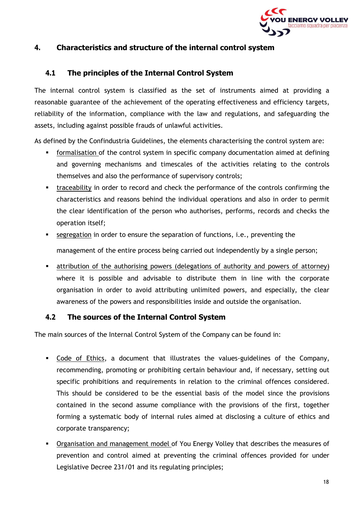

#### <span id="page-17-0"></span>**4. Characteristics and structure of the internal control system**

#### **4.1 The principles of the Internal Control System**

<span id="page-17-1"></span>The internal control system is classified as the set of instruments aimed at providing a reasonable guarantee of the achievement of the operating effectiveness and efficiency targets, reliability of the information, compliance with the law and regulations, and safeguarding the assets, including against possible frauds of unlawful activities.

As defined by the Confindustria Guidelines, the elements characterising the control system are:

- **•** formalisation of the control system in specific company documentation aimed at defining and governing mechanisms and timescales of the activities relating to the controls themselves and also the performance of supervisory controls;
- traceability in order to record and check the performance of the controls confirming the characteristics and reasons behind the individual operations and also in order to permit the clear identification of the person who authorises, performs, records and checks the operation itself;
- **Example 3** segregation in order to ensure the separation of functions, i.e., preventing the management of the entire process being carried out independently by a single person;
- attribution of the authorising powers (delegations of authority and powers of attorney) where it is possible and advisable to distribute them in line with the corporate organisation in order to avoid attributing unlimited powers, and especially, the clear awareness of the powers and responsibilities inside and outside the organisation.

#### **4.2 The sources of the Internal Control System**

<span id="page-17-2"></span>The main sources of the Internal Control System of the Company can be found in:

- Code of Ethics, a document that illustrates the values-guidelines of the Company, recommending, promoting or prohibiting certain behaviour and, if necessary, setting out specific prohibitions and requirements in relation to the criminal offences considered. This should be considered to be the essential basis of the model since the provisions contained in the second assume compliance with the provisions of the first, together forming a systematic body of internal rules aimed at disclosing a culture of ethics and corporate transparency;
- **•** Organisation and management model of You Energy Volley that describes the measures of prevention and control aimed at preventing the criminal offences provided for under Legislative Decree 231/01 and its regulating principles;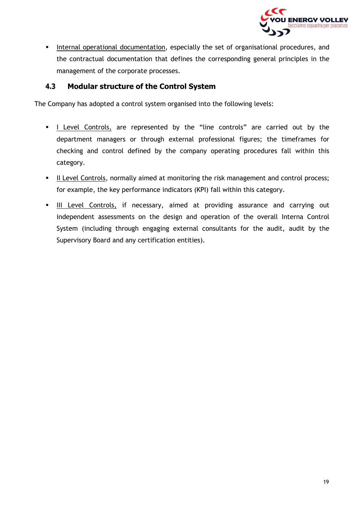

**EXEDENTIFY Internal operational documentation, especially the set of organisational procedures, and** the contractual documentation that defines the corresponding general principles in the management of the corporate processes.

#### **4.3 Modular structure of the Control System**

<span id="page-18-0"></span>The Company has adopted a control system organised into the following levels:

- I Level Controls, are represented by the "line controls" are carried out by the department managers or through external professional figures; the timeframes for checking and control defined by the company operating procedures fall within this category.
- **■** II Level Controls, normally aimed at monitoring the risk management and control process; for example, the key performance indicators (KPI) fall within this category.
- III Level Controls, if necessary, aimed at providing assurance and carrying out independent assessments on the design and operation of the overall Interna Control System (including through engaging external consultants for the audit, audit by the Supervisory Board and any certification entities).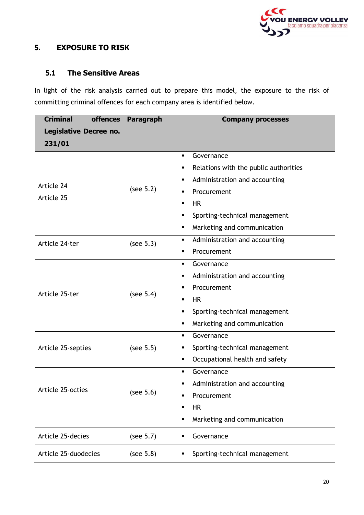

#### <span id="page-19-0"></span>**5. EXPOSURE TO RISK**

#### **5.1 The Sensitive Areas**

<span id="page-19-1"></span>In light of the risk analysis carried out to prepare this model, the exposure to the risk of committing criminal offences for each company area is identified below.

| <b>Criminal</b>        |  | offences Paragraph | <b>Company processes</b>                      |  |
|------------------------|--|--------------------|-----------------------------------------------|--|
| Legislative Decree no. |  |                    |                                               |  |
| 231/01                 |  |                    |                                               |  |
|                        |  |                    | Governance<br>$\blacksquare$                  |  |
|                        |  |                    | Relations with the public authorities<br>٠    |  |
| Article 24             |  | (see 5.2)          | Administration and accounting                 |  |
| Article 25             |  |                    | Procurement<br>$\blacksquare$                 |  |
|                        |  |                    | <b>HR</b><br>$\blacksquare$                   |  |
|                        |  |                    | Sporting-technical management<br>٠            |  |
|                        |  |                    | Marketing and communication<br>٠              |  |
| Article 24-ter         |  | (see 5.3)          | Administration and accounting<br>٠            |  |
|                        |  |                    | Procurement<br>$\blacksquare$                 |  |
|                        |  | (see 5.4)          | Governance<br>٠                               |  |
|                        |  |                    | Administration and accounting                 |  |
| Article 25-ter         |  |                    | Procurement                                   |  |
|                        |  |                    | <b>HR</b><br>٠                                |  |
|                        |  |                    | Sporting-technical management<br>٠            |  |
|                        |  |                    | Marketing and communication<br>٠              |  |
|                        |  |                    | Governance<br>$\blacksquare$                  |  |
| Article 25-septies     |  | (see 5.5)          | Sporting-technical management<br>٠            |  |
|                        |  |                    | Occupational health and safety<br>٠           |  |
|                        |  |                    | Governance<br>$\blacksquare$                  |  |
| Article 25-octies      |  |                    | Administration and accounting                 |  |
|                        |  | (see 5.6)          | Procurement<br>$\blacksquare$                 |  |
|                        |  |                    | <b>HR</b><br>٠                                |  |
|                        |  |                    | Marketing and communication<br>$\blacksquare$ |  |
| Article 25-decies      |  | (see 5.7)          | Governance<br>٠                               |  |
| Article 25-duodecies   |  | (see 5.8)          | Sporting-technical management                 |  |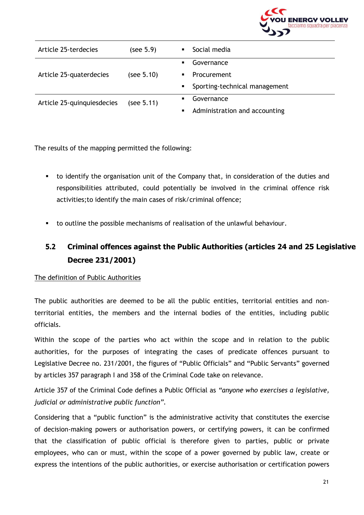

| Article 25-terdecies       | (see 5.9)  | $\blacksquare$ | Social media                  |
|----------------------------|------------|----------------|-------------------------------|
|                            |            | $\blacksquare$ | Governance                    |
| Article 25-quaterdecies    | (see 5.10) | $\blacksquare$ | <b>Procurement</b>            |
|                            |            | $\blacksquare$ | Sporting-technical management |
| Article 25-quinquiesdecies | (see 5.11) |                | Governance                    |
|                            |            |                | Administration and accounting |

The results of the mapping permitted the following:

- to identify the organisation unit of the Company that, in consideration of the duties and responsibilities attributed, could potentially be involved in the criminal offence risk activities;to identify the main cases of risk/criminal offence;
- to outline the possible mechanisms of realisation of the unlawful behaviour.

# <span id="page-20-0"></span>**5.2 Criminal offences against the Public Authorities (articles 24 and 25 Legislative Decree 231/2001)**

#### The definition of Public Authorities

The public authorities are deemed to be all the public entities, territorial entities and nonterritorial entities, the members and the internal bodies of the entities, including public officials.

Within the scope of the parties who act within the scope and in relation to the public authorities, for the purposes of integrating the cases of predicate offences pursuant to Legislative Decree no. 231/2001, the figures of "Public Officials" and "Public Servants" governed by articles 357 paragraph I and 358 of the Criminal Code take on relevance.

Article 357 of the Criminal Code defines a Public Official as *"anyone who exercises a legislative, judicial or administrative public function".*

Considering that a "public function" is the administrative activity that constitutes the exercise of decision-making powers or authorisation powers, or certifying powers, it can be confirmed that the classification of public official is therefore given to parties, public or private employees, who can or must, within the scope of a power governed by public law, create or express the intentions of the public authorities, or exercise authorisation or certification powers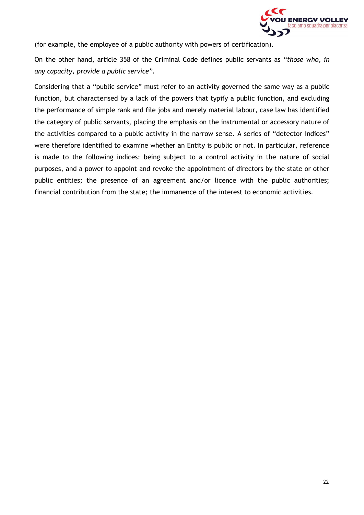

(for example, the employee of a public authority with powers of certification).

On the other hand, article 358 of the Criminal Code defines public servants as *"those who, in any capacity, provide a public service".*

Considering that a "public service" must refer to an activity governed the same way as a public function, but characterised by a lack of the powers that typify a public function, and excluding the performance of simple rank and file jobs and merely material labour, case law has identified the category of public servants, placing the emphasis on the instrumental or accessory nature of the activities compared to a public activity in the narrow sense. A series of "detector indices" were therefore identified to examine whether an Entity is public or not. In particular, reference is made to the following indices: being subject to a control activity in the nature of social purposes, and a power to appoint and revoke the appointment of directors by the state or other public entities; the presence of an agreement and/or licence with the public authorities; financial contribution from the state; the immanence of the interest to economic activities.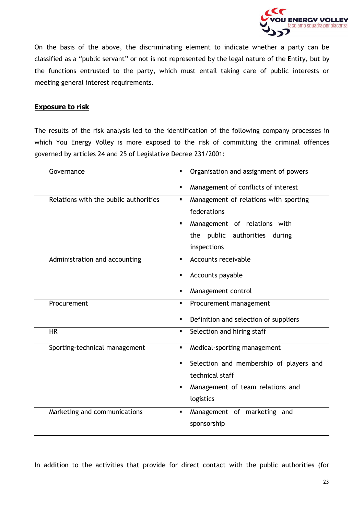

On the basis of the above, the discriminating element to indicate whether a party can be classified as a "public servant" or not is not represented by the legal nature of the Entity, but by the functions entrusted to the party, which must entail taking care of public interests or meeting general interest requirements.

#### **Exposure to risk**

The results of the risk analysis led to the identification of the following company processes in which You Energy Volley is more exposed to the risk of committing the criminal offences governed by articles 24 and 25 of Legislative Decree 231/2001:

| Governance                            | Organisation and assignment of powers         |
|---------------------------------------|-----------------------------------------------|
|                                       | Management of conflicts of interest           |
| Relations with the public authorities | Management of relations with sporting<br>п    |
|                                       | federations                                   |
|                                       | Management of relations with                  |
|                                       | the public authorities<br>during              |
|                                       | inspections                                   |
| Administration and accounting         | Accounts receivable                           |
|                                       | Accounts payable                              |
|                                       | Management control<br>٠                       |
| Procurement                           | Procurement management<br>٠                   |
|                                       | Definition and selection of suppliers<br>٠    |
| <b>HR</b>                             | Selection and hiring staff<br>$\blacksquare$  |
| Sporting-technical management         | Medical-sporting management<br>٠              |
|                                       | Selection and membership of players and       |
|                                       | technical staff                               |
|                                       | Management of team relations and              |
|                                       | logistics                                     |
| Marketing and communications          | Management of marketing and<br>$\blacksquare$ |
|                                       | sponsorship                                   |

In addition to the activities that provide for direct contact with the public authorities (for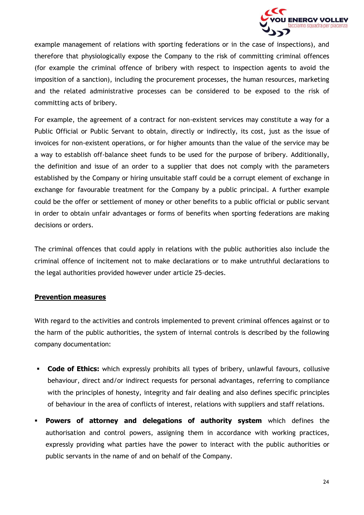

example management of relations with sporting federations or in the case of inspections), and therefore that physiologically expose the Company to the risk of committing criminal offences (for example the criminal offence of bribery with respect to inspection agents to avoid the imposition of a sanction), including the procurement processes, the human resources, marketing and the related administrative processes can be considered to be exposed to the risk of committing acts of bribery.

For example, the agreement of a contract for non-existent services may constitute a way for a Public Official or Public Servant to obtain, directly or indirectly, its cost, just as the issue of invoices for non-existent operations, or for higher amounts than the value of the service may be a way to establish off-balance sheet funds to be used for the purpose of bribery. Additionally, the definition and issue of an order to a supplier that does not comply with the parameters established by the Company or hiring unsuitable staff could be a corrupt element of exchange in exchange for favourable treatment for the Company by a public principal. A further example could be the offer or settlement of money or other benefits to a public official or public servant in order to obtain unfair advantages or forms of benefits when sporting federations are making decisions or orders.

The criminal offences that could apply in relations with the public authorities also include the criminal offence of incitement not to make declarations or to make untruthful declarations to the legal authorities provided however under article 25-decies.

#### **Prevention measures**

With regard to the activities and controls implemented to prevent criminal offences against or to the harm of the public authorities, the system of internal controls is described by the following company documentation:

- **Code of Ethics:** which expressly prohibits all types of bribery, unlawful favours, collusive behaviour, direct and/or indirect requests for personal advantages, referring to compliance with the principles of honesty, integrity and fair dealing and also defines specific principles of behaviour in the area of conflicts of interest, relations with suppliers and staff relations.
- **Powers of attorney and delegations of authority system** which defines the authorisation and control powers, assigning them in accordance with working practices, expressly providing what parties have the power to interact with the public authorities or public servants in the name of and on behalf of the Company.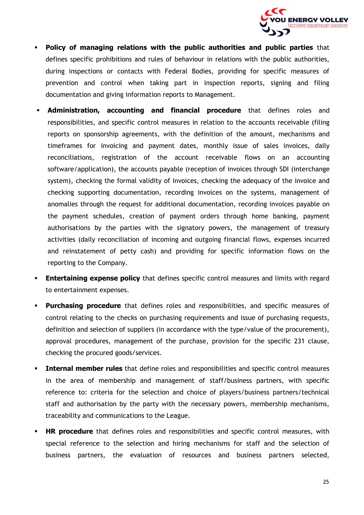

- **Policy of managing relations with the public authorities and public parties** that defines specific prohibitions and rules of behaviour in relations with the public authorities, during inspections or contacts with Federal Bodies, providing for specific measures of prevention and control when taking part in inspection reports, signing and filing documentation and giving information reports to Management.
- Administration, accounting and financial procedure that defines roles and responsibilities, and specific control measures in relation to the accounts receivable (filing reports on sponsorship agreements, with the definition of the amount, mechanisms and timeframes for invoicing and payment dates, monthly issue of sales invoices, daily reconciliations, registration of the account receivable flows on an accounting software/application), the accounts payable (reception of invoices through SDI (interchange system), checking the formal validity of invoices, checking the adequacy of the invoice and checking supporting documentation, recording invoices on the systems, management of anomalies through the request for additional documentation, recording invoices payable on the payment schedules, creation of payment orders through home banking, payment authorisations by the parties with the signatory powers, the management of treasury activities (daily reconciliation of incoming and outgoing financial flows, expenses incurred and reinstatement of petty cash) and providing for specific information flows on the reporting to the Company.
- **Entertaining expense policy** that defines specific control measures and limits with regard to entertainment expenses.
- **Purchasing procedure** that defines roles and responsibilities, and specific measures of control relating to the checks on purchasing requirements and issue of purchasing requests, definition and selection of suppliers (in accordance with the type/value of the procurement), approval procedures, management of the purchase, provision for the specific 231 clause, checking the procured goods/services.
- **· Internal member rules** that define roles and responsibilities and specific control measures in the area of membership and management of staff/business partners, with specific reference to: criteria for the selection and choice of players/business partners/technical staff and authorisation by the party with the necessary powers, membership mechanisms, traceability and communications to the League.
- **HR procedure** that defines roles and responsibilities and specific control measures, with special reference to the selection and hiring mechanisms for staff and the selection of business partners, the evaluation of resources and business partners selected,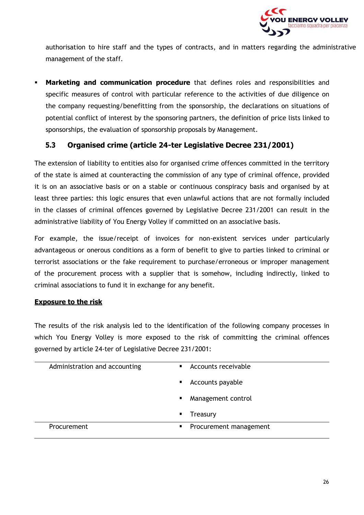

authorisation to hire staff and the types of contracts, and in matters regarding the administrative management of the staff.

**Marketing and communication procedure** that defines roles and responsibilities and specific measures of control with particular reference to the activities of due diligence on the company requesting/benefitting from the sponsorship, the declarations on situations of potential conflict of interest by the sponsoring partners, the definition of price lists linked to sponsorships, the evaluation of sponsorship proposals by Management.

#### **5.3 Organised crime (article 24-ter Legislative Decree 231/2001)**

<span id="page-25-0"></span>The extension of liability to entities also for organised crime offences committed in the territory of the state is aimed at counteracting the commission of any type of criminal offence, provided it is on an associative basis or on a stable or continuous conspiracy basis and organised by at least three parties: this logic ensures that even unlawful actions that are not formally included in the classes of criminal offences governed by Legislative Decree 231/2001 can result in the administrative liability of You Energy Volley if committed on an associative basis.

For example, the issue/receipt of invoices for non-existent services under particularly advantageous or onerous conditions as a form of benefit to give to parties linked to criminal or terrorist associations or the fake requirement to purchase/erroneous or improper management of the procurement process with a supplier that is somehow, including indirectly, linked to criminal associations to fund it in exchange for any benefit.

#### **Exposure to the risk**

The results of the risk analysis led to the identification of the following company processes in which You Energy Volley is more exposed to the risk of committing the criminal offences governed by article 24-ter of Legislative Decree 231/2001:

| Administration and accounting | Accounts receivable<br>$\blacksquare$    |
|-------------------------------|------------------------------------------|
|                               | Accounts payable<br>$\blacksquare$       |
|                               | Management control<br>$\blacksquare$     |
|                               | Treasury<br>$\blacksquare$               |
| <b>Procurement</b>            | Procurement management<br>$\blacksquare$ |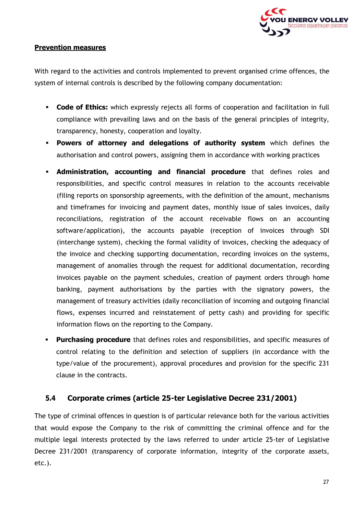

#### **Prevention measures**

With regard to the activities and controls implemented to prevent organised crime offences, the system of internal controls is described by the following company documentation:

- **Code of Ethics:** which expressly rejects all forms of cooperation and facilitation in full compliance with prevailing laws and on the basis of the general principles of integrity, transparency, honesty, cooperation and loyalty.
- **Powers of attorney and delegations of authority system** which defines the authorisation and control powers, assigning them in accordance with working practices
- **Administration, accounting and financial procedure** that defines roles and responsibilities, and specific control measures in relation to the accounts receivable (filing reports on sponsorship agreements, with the definition of the amount, mechanisms and timeframes for invoicing and payment dates, monthly issue of sales invoices, daily reconciliations, registration of the account receivable flows on an accounting software/application), the accounts payable (reception of invoices through SDI (interchange system), checking the formal validity of invoices, checking the adequacy of the invoice and checking supporting documentation, recording invoices on the systems, management of anomalies through the request for additional documentation, recording invoices payable on the payment schedules, creation of payment orders through home banking, payment authorisations by the parties with the signatory powers, the management of treasury activities (daily reconciliation of incoming and outgoing financial flows, expenses incurred and reinstatement of petty cash) and providing for specific information flows on the reporting to the Company.
- **Purchasing procedure** that defines roles and responsibilities, and specific measures of control relating to the definition and selection of suppliers (in accordance with the type/value of the procurement), approval procedures and provision for the specific 231 clause in the contracts.

#### **5.4 Corporate crimes (article 25-ter Legislative Decree 231/2001)**

<span id="page-26-0"></span>The type of criminal offences in question is of particular relevance both for the various activities that would expose the Company to the risk of committing the criminal offence and for the multiple legal interests protected by the laws referred to under article 25-ter of Legislative Decree 231/2001 (transparency of corporate information, integrity of the corporate assets, etc.).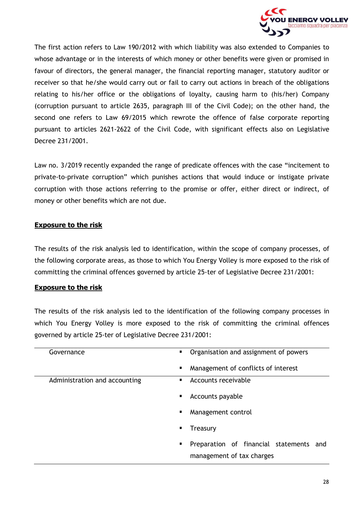

The first action refers to Law 190/2012 with which liability was also extended to Companies to whose advantage or in the interests of which money or other benefits were given or promised in favour of directors, the general manager, the financial reporting manager, statutory auditor or receiver so that he/she would carry out or fail to carry out actions in breach of the obligations relating to his/her office or the obligations of loyalty, causing harm to (his/her) Company (corruption pursuant to article 2635, paragraph III of the Civil Code); on the other hand, the second one refers to Law 69/2015 which rewrote the offence of false corporate reporting pursuant to articles 2621-2622 of the Civil Code, with significant effects also on Legislative Decree 231/2001.

Law no. 3/2019 recently expanded the range of predicate offences with the case "incitement to private-to-private corruption" which punishes actions that would induce or instigate private corruption with those actions referring to the promise or offer, either direct or indirect, of money or other benefits which are not due.

#### **Exposure to the risk**

The results of the risk analysis led to identification, within the scope of company processes, of the following corporate areas, as those to which You Energy Volley is more exposed to the risk of committing the criminal offences governed by article 25-ter of Legislative Decree 231/2001:

#### **Exposure to the risk**

The results of the risk analysis led to the identification of the following company processes in which You Energy Volley is more exposed to the risk of committing the criminal offences governed by article 25-ter of Legislative Decree 231/2001:

| Governance                    | Organisation and assignment of powers<br>$\blacksquare$ |
|-------------------------------|---------------------------------------------------------|
|                               | Management of conflicts of interest<br>٠                |
| Administration and accounting | Accounts receivable                                     |
|                               | Accounts payable<br>٠                                   |
|                               | Management control<br>п                                 |
|                               | Treasury<br>п                                           |
|                               | Preparation of financial statements and<br>п            |
|                               | management of tax charges                               |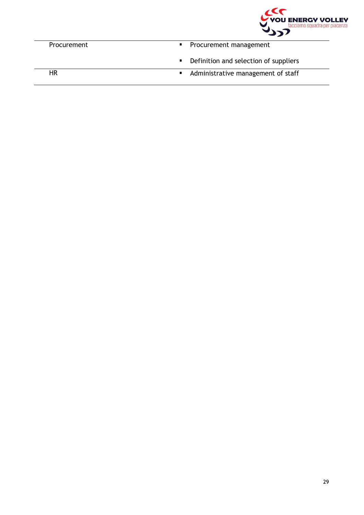

| Procurement | • Procurement management                |
|-------------|-----------------------------------------|
|             | • Definition and selection of suppliers |
| НR          | • Administrative management of staff    |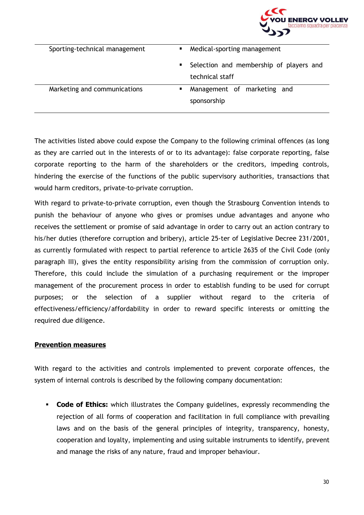

| Sporting-technical management |    | Medical-sporting management                                |
|-------------------------------|----|------------------------------------------------------------|
|                               | п. | Selection and membership of players and<br>technical staff |
| Marketing and communications  |    | Management of marketing and<br>sponsorship                 |

The activities listed above could expose the Company to the following criminal offences (as long as they are carried out in the interests of or to its advantage): false corporate reporting, false corporate reporting to the harm of the shareholders or the creditors, impeding controls, hindering the exercise of the functions of the public supervisory authorities, transactions that would harm creditors, private-to-private corruption.

With regard to private-to-private corruption, even though the Strasbourg Convention intends to punish the behaviour of anyone who gives or promises undue advantages and anyone who receives the settlement or promise of said advantage in order to carry out an action contrary to his/her duties (therefore corruption and bribery), article 25-ter of Legislative Decree 231/2001, as currently formulated with respect to partial reference to article 2635 of the Civil Code (only paragraph III), gives the entity responsibility arising from the commission of corruption only. Therefore, this could include the simulation of a purchasing requirement or the improper management of the procurement process in order to establish funding to be used for corrupt purposes; or the selection of a supplier without regard to the criteria of effectiveness/efficiency/affordability in order to reward specific interests or omitting the required due diligence.

#### **Prevention measures**

With regard to the activities and controls implemented to prevent corporate offences, the system of internal controls is described by the following company documentation:

**• Code of Ethics:** which illustrates the Company guidelines, expressly recommending the rejection of all forms of cooperation and facilitation in full compliance with prevailing laws and on the basis of the general principles of integrity, transparency, honesty, cooperation and loyalty, implementing and using suitable instruments to identify, prevent and manage the risks of any nature, fraud and improper behaviour.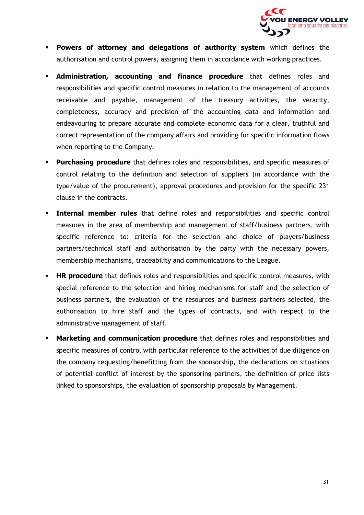

- **Powers of attorney and delegations of authority system** which defines the authorisation and control powers, assigning them in accordance with working practices.
- **Administration, accounting and finance procedure** that defines roles and responsibilities and specific control measures in relation to the management of accounts receivable and payable, management of the treasury activities, the veracity, completeness, accuracy and precision of the accounting data and information and endeavouring to prepare accurate and complete economic data for a clear, truthful and correct representation of the company affairs and providing for specific information flows when reporting to the Company.
- **Purchasing procedure** that defines roles and responsibilities, and specific measures of control relating to the definition and selection of suppliers (in accordance with the type/value of the procurement), approval procedures and provision for the specific 231 clause in the contracts.
- **. Internal member rules** that define roles and responsibilities and specific control measures in the area of membership and management of staff/business partners, with specific reference to: criteria for the selection and choice of players/business partners/technical staff and authorisation by the party with the necessary powers, membership mechanisms, traceability and communications to the League.
- **HR procedure** that defines roles and responsibilities and specific control measures, with special reference to the selection and hiring mechanisms for staff and the selection of business partners, the evaluation of the resources and business partners selected, the authorisation to hire staff and the types of contracts, and with respect to the administrative management of staff.
- **Marketing and communication procedure** that defines roles and responsibilities and specific measures of control with particular reference to the activities of due diligence on the company requesting/benefitting from the sponsorship, the declarations on situations of potential conflict of interest by the sponsoring partners, the definition of price lists linked to sponsorships, the evaluation of sponsorship proposals by Management.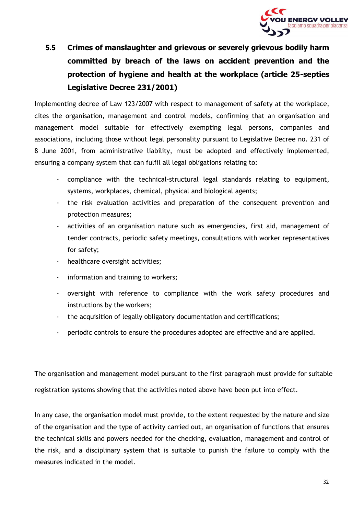

# <span id="page-31-0"></span>**5.5 Crimes of manslaughter and grievous or severely grievous bodily harm committed by breach of the laws on accident prevention and the protection of hygiene and health at the workplace (article 25-septies Legislative Decree 231/2001)**

Implementing decree of Law 123/2007 with respect to management of safety at the workplace, cites the organisation, management and control models, confirming that an organisation and management model suitable for effectively exempting legal persons, companies and associations, including those without legal personality pursuant to Legislative Decree no. 231 of 8 June 2001, from administrative liability, must be adopted and effectively implemented, ensuring a company system that can fulfil all legal obligations relating to:

- compliance with the technical-structural legal standards relating to equipment, systems, workplaces, chemical, physical and biological agents;
- the risk evaluation activities and preparation of the consequent prevention and protection measures;
- activities of an organisation nature such as emergencies, first aid, management of tender contracts, periodic safety meetings, consultations with worker representatives for safety;
- healthcare oversight activities;
- information and training to workers;
- oversight with reference to compliance with the work safety procedures and instructions by the workers;
- the acquisition of legally obligatory documentation and certifications;
- periodic controls to ensure the procedures adopted are effective and are applied.

The organisation and management model pursuant to the first paragraph must provide for suitable registration systems showing that the activities noted above have been put into effect.

In any case, the organisation model must provide, to the extent requested by the nature and size of the organisation and the type of activity carried out, an organisation of functions that ensures the technical skills and powers needed for the checking, evaluation, management and control of the risk, and a disciplinary system that is suitable to punish the failure to comply with the measures indicated in the model.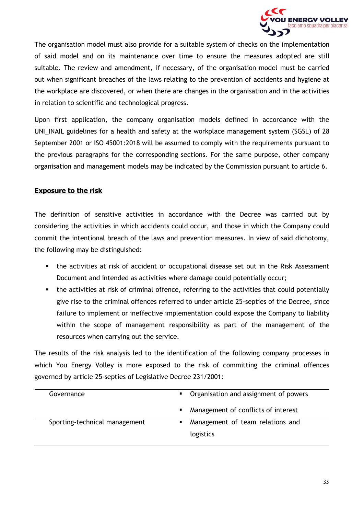

The organisation model must also provide for a suitable system of checks on the implementation of said model and on its maintenance over time to ensure the measures adopted are still suitable. The review and amendment, if necessary, of the organisation model must be carried out when significant breaches of the laws relating to the prevention of accidents and hygiene at the workplace are discovered, or when there are changes in the organisation and in the activities in relation to scientific and technological progress.

Upon first application, the company organisation models defined in accordance with the UNI\_INAIL guidelines for a health and safety at the workplace management system (SGSL) of 28 September 2001 or ISO 45001:2018 will be assumed to comply with the requirements pursuant to the previous paragraphs for the corresponding sections. For the same purpose, other company organisation and management models may be indicated by the Commission pursuant to article 6.

#### **Exposure to the risk**

The definition of sensitive activities in accordance with the Decree was carried out by considering the activities in which accidents could occur, and those in which the Company could commit the intentional breach of the laws and prevention measures. In view of said dichotomy, the following may be distinguished:

- the activities at risk of accident or occupational disease set out in the Risk Assessment Document and intended as activities where damage could potentially occur;
- the activities at risk of criminal offence, referring to the activities that could potentially give rise to the criminal offences referred to under article 25-septies of the Decree, since failure to implement or ineffective implementation could expose the Company to liability within the scope of management responsibility as part of the management of the resources when carrying out the service.

The results of the risk analysis led to the identification of the following company processes in which You Energy Volley is more exposed to the risk of committing the criminal offences governed by article 25-septies of Legislative Decree 231/2001:

| Governance                    | • Organisation and assignment of powers |
|-------------------------------|-----------------------------------------|
|                               | Management of conflicts of interest     |
| Sporting-technical management | Management of team relations and        |
|                               | logistics                               |
|                               |                                         |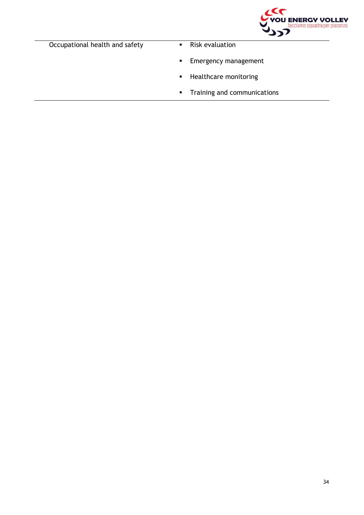

Occupational health and safety **· Risk evaluation** 

- 
- **Emergency management**
- Healthcare monitoring
- Training and communications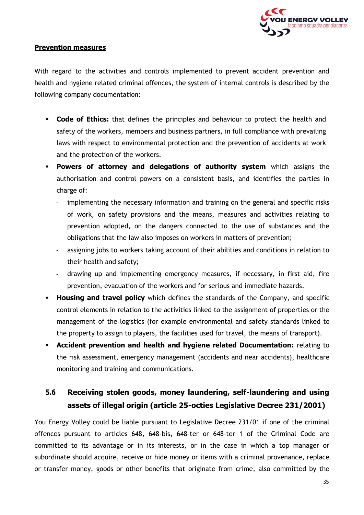

#### **Prevention measures**

With regard to the activities and controls implemented to prevent accident prevention and health and hygiene related criminal offences, the system of internal controls is described by the following company documentation:

- **Code of Ethics:** that defines the principles and behaviour to protect the health and safety of the workers, members and business partners, in full compliance with prevailing laws with respect to environmental protection and the prevention of accidents at work and the protection of the workers.
- **Powers of attorney and delegations of authority system** which assigns the authorisation and control powers on a consistent basis, and identifies the parties in charge of:
	- implementing the necessary information and training on the general and specific risks of work, on safety provisions and the means, measures and activities relating to prevention adopted, on the dangers connected to the use of substances and the obligations that the law also imposes on workers in matters of prevention;
	- assigning jobs to workers taking account of their abilities and conditions in relation to their health and safety;
	- drawing up and implementing emergency measures, if necessary, in first aid, fire prevention, evacuation of the workers and for serious and immediate hazards.
- **Housing and travel policy** which defines the standards of the Company, and specific control elements in relation to the activities linked to the assignment of properties or the management of the logistics (for example environmental and safety standards linked to the property to assign to players, the facilities used for travel, the means of transport).
- **Accident prevention and health and hygiene related Documentation:** relating to the risk assessment, emergency management (accidents and near accidents), healthcare monitoring and training and communications.

# <span id="page-34-0"></span>**5.6 Receiving stolen goods, money laundering, self-laundering and using assets of illegal origin (article 25-octies Legislative Decree 231/2001)**

You Energy Volley could be liable pursuant to Legislative Decree 231/01 if one of the criminal offences pursuant to articles 648, 648-bis, 648-ter or 648-ter 1 of the Criminal Code are committed to its advantage or in its interests, or in the case in which a top manager or subordinate should acquire, receive or hide money or items with a criminal provenance, replace or transfer money, goods or other benefits that originate from crime, also committed by the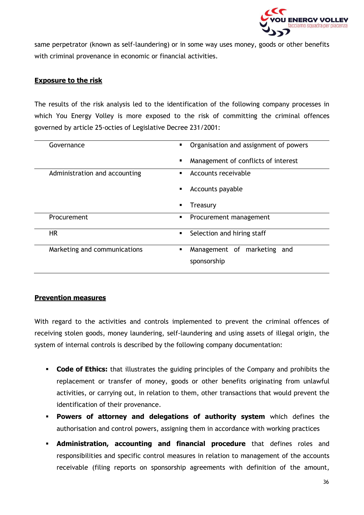

same perpetrator (known as self-laundering) or in some way uses money, goods or other benefits with criminal provenance in economic or financial activities.

#### **Exposure to the risk**

The results of the risk analysis led to the identification of the following company processes in which You Energy Volley is more exposed to the risk of committing the criminal offences governed by article 25-octies of Legislative Decree 231/2001:

| Governance                    | Organisation and assignment of powers           |
|-------------------------------|-------------------------------------------------|
|                               | Management of conflicts of interest             |
| Administration and accounting | Accounts receivable<br>٠                        |
|                               | Accounts payable                                |
|                               | Treasury                                        |
| <b>Procurement</b>            | Procurement management<br>п                     |
| <b>HR</b>                     | Selection and hiring staff<br>$\blacksquare$    |
| Marketing and communications  | Management of marketing and<br>п<br>sponsorship |

#### **Prevention measures**

With regard to the activities and controls implemented to prevent the criminal offences of receiving stolen goods, money laundering, self-laundering and using assets of illegal origin, the system of internal controls is described by the following company documentation:

- **Code of Ethics:** that illustrates the guiding principles of the Company and prohibits the replacement or transfer of money, goods or other benefits originating from unlawful activities, or carrying out, in relation to them, other transactions that would prevent the identification of their provenance.
- **Powers of attorney and delegations of authority system** which defines the authorisation and control powers, assigning them in accordance with working practices
- **Administration, accounting and financial procedure** that defines roles and responsibilities and specific control measures in relation to management of the accounts receivable (filing reports on sponsorship agreements with definition of the amount,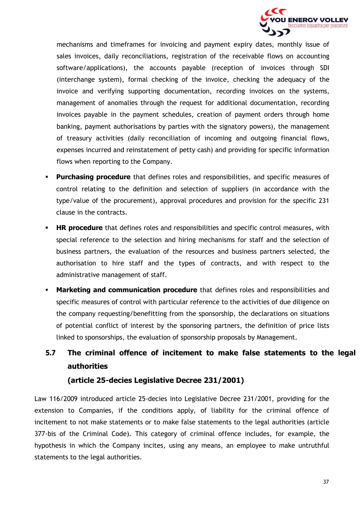

mechanisms and timeframes for invoicing and payment expiry dates, monthly issue of sales invoices, daily reconciliations, registration of the receivable flows on accounting software/applications), the accounts payable (reception of invoices through SDI (interchange system), formal checking of the invoice, checking the adequacy of the invoice and verifying supporting documentation, recording invoices on the systems, management of anomalies through the request for additional documentation, recording invoices payable in the payment schedules, creation of payment orders through home banking, payment authorisations by parties with the signatory powers), the management of treasury activities (daily reconciliation of incoming and outgoing financial flows, expenses incurred and reinstatement of petty cash) and providing for specific information flows when reporting to the Company.

- **Purchasing procedure** that defines roles and responsibilities, and specific measures of control relating to the definition and selection of suppliers (in accordance with the type/value of the procurement), approval procedures and provision for the specific 231 clause in the contracts.
- **HR procedure** that defines roles and responsibilities and specific control measures, with special reference to the selection and hiring mechanisms for staff and the selection of business partners, the evaluation of the resources and business partners selected, the authorisation to hire staff and the types of contracts, and with respect to the administrative management of staff.
- **Marketing and communication procedure** that defines roles and responsibilities and specific measures of control with particular reference to the activities of due diligence on the company requesting/benefitting from the sponsorship, the declarations on situations of potential conflict of interest by the sponsoring partners, the definition of price lists linked to sponsorships, the evaluation of sponsorship proposals by Management.
- **5.7 The criminal offence of incitement to make false statements to the legal authorities**

#### **(article 25-decies Legislative Decree 231/2001)**

Law 116/2009 introduced article 25-decies into Legislative Decree 231/2001, providing for the extension to Companies, if the conditions apply, of liability for the criminal offence of incitement to not make statements or to make false statements to the legal authorities (article 377-bis of the Criminal Code). This category of criminal offence includes, for example, the hypothesis in which the Company incites, using any means, an employee to make untruthful statements to the legal authorities.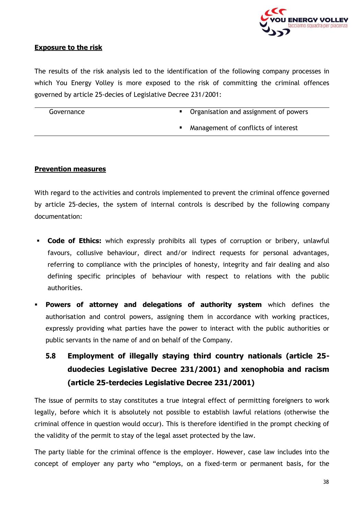

#### **Exposure to the risk**

The results of the risk analysis led to the identification of the following company processes in which You Energy Volley is more exposed to the risk of committing the criminal offences governed by article 25-decies of Legislative Decree 231/2001:

| Governance | Organisation and assignment of powers |
|------------|---------------------------------------|
|            |                                       |

Management of conflicts of interest

#### **Prevention measures**

With regard to the activities and controls implemented to prevent the criminal offence governed by article 25-decies, the system of internal controls is described by the following company documentation:

- **Code of Ethics:** which expressly prohibits all types of corruption or bribery, unlawful favours, collusive behaviour, direct and/or indirect requests for personal advantages, referring to compliance with the principles of honesty, integrity and fair dealing and also defining specific principles of behaviour with respect to relations with the public authorities.
- **Powers of attorney and delegations of authority system** which defines the authorisation and control powers, assigning them in accordance with working practices, expressly providing what parties have the power to interact with the public authorities or public servants in the name of and on behalf of the Company.

# **5.8 Employment of illegally staying third country nationals (article 25 duodecies Legislative Decree 231/2001) and xenophobia and racism (article 25-terdecies Legislative Decree 231/2001)**

The issue of permits to stay constitutes a true integral effect of permitting foreigners to work legally, before which it is absolutely not possible to establish lawful relations (otherwise the criminal offence in question would occur). This is therefore identified in the prompt checking of the validity of the permit to stay of the legal asset protected by the law.

The party liable for the criminal offence is the employer. However, case law includes into the concept of employer any party who "employs, on a fixed-term or permanent basis, for the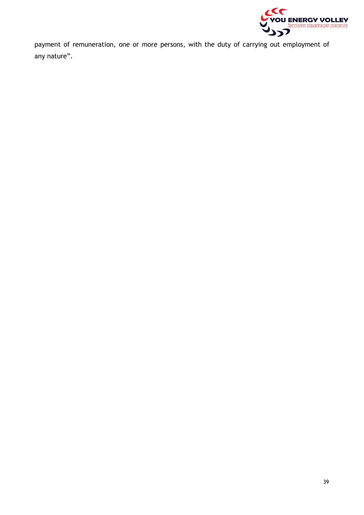

payment of remuneration, one or more persons, with the duty of carrying out employment of any nature".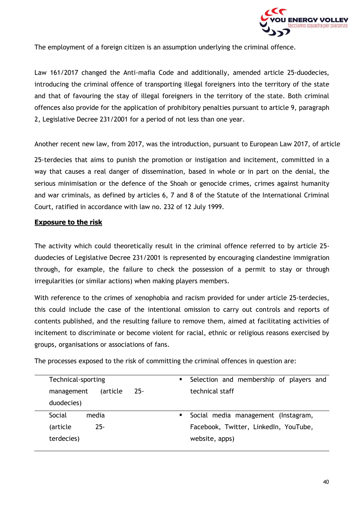

The employment of a foreign citizen is an assumption underlying the criminal offence.

Law 161/2017 changed the Anti-mafia Code and additionally, amended article 25-duodecies, introducing the criminal offence of transporting illegal foreigners into the territory of the state and that of favouring the stay of illegal foreigners in the territory of the state. Both criminal offences also provide for the application of prohibitory penalties pursuant to article 9, paragraph 2, Legislative Decree 231/2001 for a period of not less than one year.

Another recent new law, from 2017, was the introduction, pursuant to European Law 2017, of article

25-terdecies that aims to punish the promotion or instigation and incitement, committed in a way that causes a real danger of dissemination, based in whole or in part on the denial, the serious minimisation or the defence of the Shoah or genocide crimes, crimes against humanity and war criminals, as defined by articles 6, 7 and 8 of the Statute of the International Criminal Court, ratified in accordance with law no. 232 of 12 July 1999.

#### **Exposure to the risk**

The activity which could theoretically result in the criminal offence referred to by article 25 duodecies of Legislative Decree 231/2001 is represented by encouraging clandestine immigration through, for example, the failure to check the possession of a permit to stay or through irregularities (or similar actions) when making players members.

With reference to the crimes of xenophobia and racism provided for under article 25-terdecies, this could include the case of the intentional omission to carry out controls and reports of contents published, and the resulting failure to remove them, aimed at facilitating activities of incitement to discriminate or become violent for racial, ethnic or religious reasons exercised by groups, organisations or associations of fans.

The processes exposed to the risk of committing the criminal offences in question are:

| Technical-sporting      | $\mathbf{R}^{\text{max}}$ | Selection and membership of players and |
|-------------------------|---------------------------|-----------------------------------------|
| (article)<br>management | $25 -$                    | technical staff                         |
| duodecies)              |                           |                                         |
| Social<br>media         |                           | Social media management (Instagram,     |
| $25 -$<br>(article      |                           | Facebook, Twitter, LinkedIn, YouTube,   |
| terdecies)              |                           | website, apps)                          |
|                         |                           |                                         |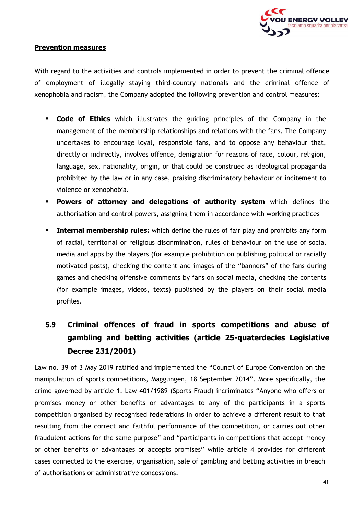

#### **Prevention measures**

With regard to the activities and controls implemented in order to prevent the criminal offence of employment of illegally staying third-country nationals and the criminal offence of xenophobia and racism, the Company adopted the following prevention and control measures:

- **Code of Ethics** which illustrates the guiding principles of the Company in the management of the membership relationships and relations with the fans. The Company undertakes to encourage loyal, responsible fans, and to oppose any behaviour that, directly or indirectly, involves offence, denigration for reasons of race, colour, religion, language, sex, nationality, origin, or that could be construed as ideological propaganda prohibited by the law or in any case, praising discriminatory behaviour or incitement to violence or xenophobia.
- **Powers of attorney and delegations of authority system** which defines the authorisation and control powers, assigning them in accordance with working practices
- **EXTERNIMIZE: Internal membership rules:** which define the rules of fair play and prohibits any form of racial, territorial or religious discrimination, rules of behaviour on the use of social media and apps by the players (for example prohibition on publishing political or racially motivated posts), checking the content and images of the "banners" of the fans during games and checking offensive comments by fans on social media, checking the contents (for example images, videos, texts) published by the players on their social media profiles.

# <span id="page-40-0"></span>**5.9 Criminal offences of fraud in sports competitions and abuse of gambling and betting activities (article 25-quaterdecies Legislative Decree 231/2001)**

Law no. 39 of 3 May 2019 ratified and implemented the "Council of Europe Convention on the manipulation of sports competitions, Magglingen, 18 September 2014". More specifically, the crime governed by article 1, Law 401/1989 (Sports Fraud) incriminates "Anyone who offers or promises money or other benefits or advantages to any of the participants in a sports competition organised by recognised federations in order to achieve a different result to that resulting from the correct and faithful performance of the competition, or carries out other fraudulent actions for the same purpose" and "participants in competitions that accept money or other benefits or advantages or accepts promises" while article 4 provides for different cases connected to the exercise, organisation, sale of gambling and betting activities in breach of authorisations or administrative concessions.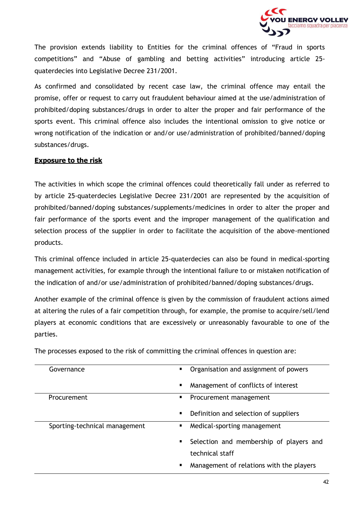

The provision extends liability to Entities for the criminal offences of "Fraud in sports competitions" and "Abuse of gambling and betting activities" introducing article 25 quaterdecies into Legislative Decree 231/2001.

As confirmed and consolidated by recent case law, the criminal offence may entail the promise, offer or request to carry out fraudulent behaviour aimed at the use/administration of prohibited/doping substances/drugs in order to alter the proper and fair performance of the sports event. This criminal offence also includes the intentional omission to give notice or wrong notification of the indication or and/or use/administration of prohibited/banned/doping substances/drugs.

#### **Exposure to the risk**

The activities in which scope the criminal offences could theoretically fall under as referred to by article 25-quaterdecies Legislative Decree 231/2001 are represented by the acquisition of prohibited/banned/doping substances/supplements/medicines in order to alter the proper and fair performance of the sports event and the improper management of the qualification and selection process of the supplier in order to facilitate the acquisition of the above-mentioned products.

This criminal offence included in article 25-quaterdecies can also be found in medical-sporting management activities, for example through the intentional failure to or mistaken notification of the indication of and/or use/administration of prohibited/banned/doping substances/drugs.

Another example of the criminal offence is given by the commission of fraudulent actions aimed at altering the rules of a fair competition through, for example, the promise to acquire/sell/lend players at economic conditions that are excessively or unreasonably favourable to one of the parties.

| Governance                    | Organisation and assignment of powers<br>٠    |
|-------------------------------|-----------------------------------------------|
|                               | Management of conflicts of interest<br>п      |
| Procurement                   | Procurement management<br>п                   |
|                               | Definition and selection of suppliers<br>п    |
| Sporting-technical management | Medical-sporting management<br>п              |
|                               | Selection and membership of players and       |
|                               | technical staff                               |
|                               | Management of relations with the players<br>п |

The processes exposed to the risk of committing the criminal offences in question are: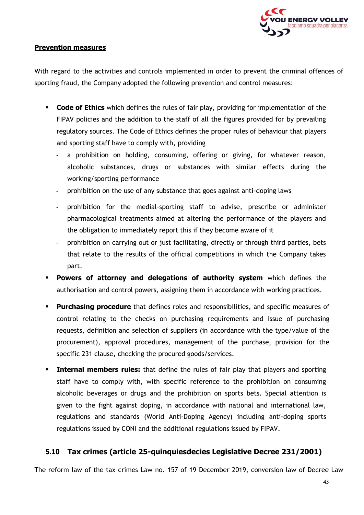

#### **Prevention measures**

With regard to the activities and controls implemented in order to prevent the criminal offences of sporting fraud, the Company adopted the following prevention and control measures:

- **Code of Ethics** which defines the rules of fair play, providing for implementation of the FIPAV policies and the addition to the staff of all the figures provided for by prevailing regulatory sources. The Code of Ethics defines the proper rules of behaviour that players and sporting staff have to comply with, providing
	- a prohibition on holding, consuming, offering or giving, for whatever reason, alcoholic substances, drugs or substances with similar effects during the working/sporting performance
	- prohibition on the use of any substance that goes against anti-doping laws
	- prohibition for the medial-sporting staff to advise, prescribe or administer pharmacological treatments aimed at altering the performance of the players and the obligation to immediately report this if they become aware of it
	- prohibition on carrying out or just facilitating, directly or through third parties, bets that relate to the results of the official competitions in which the Company takes part.
- **Powers of attorney and delegations of authority system** which defines the authorisation and control powers, assigning them in accordance with working practices.
- **Purchasing procedure** that defines roles and responsibilities, and specific measures of control relating to the checks on purchasing requirements and issue of purchasing requests, definition and selection of suppliers (in accordance with the type/value of the procurement), approval procedures, management of the purchase, provision for the specific 231 clause, checking the procured goods/services.
- **Internal members rules:** that define the rules of fair play that players and sporting staff have to comply with, with specific reference to the prohibition on consuming alcoholic beverages or drugs and the prohibition on sports bets. Special attention is given to the fight against doping, in accordance with national and international law, regulations and standards (World Anti-Doping Agency) including anti-doping sports regulations issued by CONI and the additional regulations issued by FIPAV.

#### **5.10 Tax crimes (article 25-quinquiesdecies Legislative Decree 231/2001)**

<span id="page-42-0"></span>The reform law of the tax crimes Law no. 157 of 19 December 2019, conversion law of Decree Law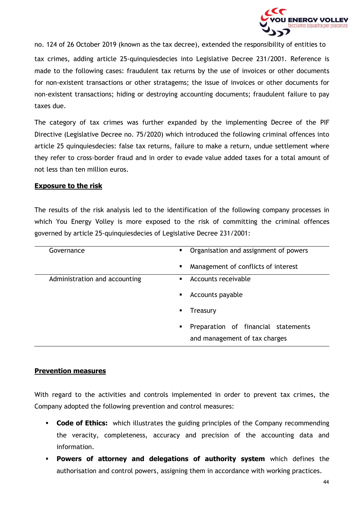

no. 124 of 26 October 2019 (known as the tax decree), extended the responsibility of entities to tax crimes, adding article 25-quinquiesdecies into Legislative Decree 231/2001. Reference is made to the following cases: fraudulent tax returns by the use of invoices or other documents for non-existent transactions or other stratagems; the issue of invoices or other documents for non-existent transactions; hiding or destroying accounting documents; fraudulent failure to pay taxes due.

The category of tax crimes was further expanded by the implementing Decree of the PIF Directive (Legislative Decree no. 75/2020) which introduced the following criminal offences into article 25 quinquiesdecies: false tax returns, failure to make a return, undue settlement where they refer to cross-border fraud and in order to evade value added taxes for a total amount of not less than ten million euros.

#### **Exposure to the risk**

The results of the risk analysis led to the identification of the following company processes in which You Energy Volley is more exposed to the risk of committing the criminal offences governed by article 25-quinquiesdecies of Legislative Decree 231/2001:

| Governance                    | Organisation and assignment of powers<br>$\blacksquare$                   |
|-------------------------------|---------------------------------------------------------------------------|
|                               | Management of conflicts of interest<br>п                                  |
| Administration and accounting | Accounts receivable<br>$\blacksquare$                                     |
|                               | Accounts payable<br>$\blacksquare$                                        |
|                               | Treasury                                                                  |
|                               | Preparation of financial statements<br>٠<br>and management of tax charges |

#### **Prevention measures**

With regard to the activities and controls implemented in order to prevent tax crimes, the Company adopted the following prevention and control measures:

- **Code of Ethics:** which illustrates the guiding principles of the Company recommending the veracity, completeness, accuracy and precision of the accounting data and information.
- **Powers of attorney and delegations of authority system** which defines the authorisation and control powers, assigning them in accordance with working practices.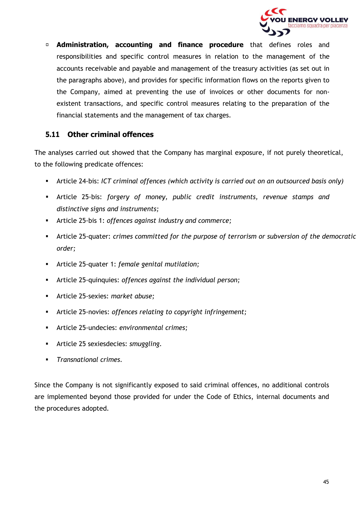

**Administration, accounting and finance procedure** that defines roles and responsibilities and specific control measures in relation to the management of the accounts receivable and payable and management of the treasury activities (as set out in the paragraphs above), and provides for specific information flows on the reports given to the Company, aimed at preventing the use of invoices or other documents for nonexistent transactions, and specific control measures relating to the preparation of the financial statements and the management of tax charges.

#### **5.11 Other criminal offences**

<span id="page-44-0"></span>The analyses carried out showed that the Company has marginal exposure, if not purely theoretical, to the following predicate offences:

- Article 24-bis: *ICT criminal offences (which activity is carried out on an outsourced basis only)*
- Article 25-bis: *forgery of money, public credit instruments, revenue stamps and distinctive signs and instruments;*
- Article 25-bis 1: *offences against industry and commerce;*
- Article 25-quater: *crimes committed for the purpose of terrorism or subversion of the democratic order;*
- Article 25-quater 1: *female genital mutilation;*
- Article 25-quinquies: *offences against the individual person;*
- Article 25-sexies: *market abuse;*
- Article 25-novies: *offences relating to copyright infringement;*
- Article 25-undecies: *environmental crimes;*
- Article 25 sexiesdecies: *smuggling.*
- *Transnational crimes.*

Since the Company is not significantly exposed to said criminal offences, no additional controls are implemented beyond those provided for under the Code of Ethics, internal documents and the procedures adopted.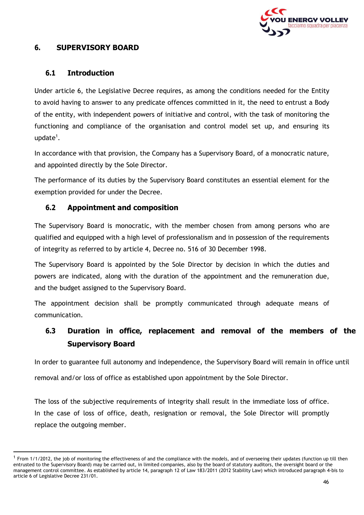

#### <span id="page-45-0"></span>**6. SUPERVISORY BOARD**

#### **6.1 Introduction**

<span id="page-45-1"></span>Under article 6, the Legislative Decree requires, as among the conditions needed for the Entity to avoid having to answer to any predicate offences committed in it, the need to entrust a Body of the entity, with independent powers of initiative and control, with the task of monitoring the functioning and compliance of the organisation and control model set up, and ensuring its update $^1$ .

In accordance with that provision, the Company has a Supervisory Board, of a monocratic nature, and appointed directly by the Sole Director.

The performance of its duties by the Supervisory Board constitutes an essential element for the exemption provided for under the Decree.

#### **6.2 Appointment and composition**

<span id="page-45-2"></span>The Supervisory Board is monocratic, with the member chosen from among persons who are qualified and equipped with a high level of professionalism and in possession of the requirements of integrity as referred to by article 4, Decree no. 516 of 30 December 1998.

The Supervisory Board is appointed by the Sole Director by decision in which the duties and powers are indicated, along with the duration of the appointment and the remuneration due, and the budget assigned to the Supervisory Board.

<span id="page-45-3"></span>The appointment decision shall be promptly communicated through adequate means of communication.

### **6.3 Duration in office, replacement and removal of the members of the Supervisory Board**

In order to guarantee full autonomy and independence, the Supervisory Board will remain in office until removal and/or loss of office as established upon appointment by the Sole Director.

The loss of the subjective requirements of integrity shall result in the immediate loss of office. In the case of loss of office, death, resignation or removal, the Sole Director will promptly replace the outgoing member.

 $1$  From 1/1/2012, the job of monitoring the effectiveness of and the compliance with the models, and of overseeing their updates (function up till then entrusted to the Supervisory Board) may be carried out, in limited companies, also by the board of statutory auditors, the oversight board or the management control committee. As established by article 14, paragraph 12 of Law 183/2011 (2012 Stability Law) which introduced paragraph 4-bis to article 6 of Legislative Decree 231/01.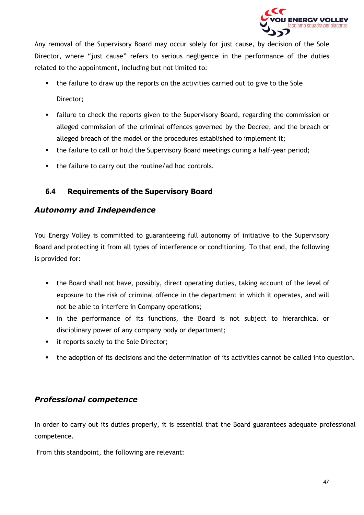

Any removal of the Supervisory Board may occur solely for just cause, by decision of the Sole Director, where "just cause" refers to serious negligence in the performance of the duties related to the appointment, including but not limited to:

- the failure to draw up the reports on the activities carried out to give to the Sole Director;
- **EXEC** failure to check the reports given to the Supervisory Board, regarding the commission or alleged commission of the criminal offences governed by the Decree, and the breach or alleged breach of the model or the procedures established to implement it;
- the failure to call or hold the Supervisory Board meetings during a half-year period;
- the failure to carry out the routine/ad hoc controls.

#### **6.4 Requirements of the Supervisory Board**

#### <span id="page-46-0"></span>*Autonomy and Independence*

You Energy Volley is committed to guaranteeing full autonomy of initiative to the Supervisory Board and protecting it from all types of interference or conditioning. To that end, the following is provided for:

- the Board shall not have, possibly, direct operating duties, taking account of the level of exposure to the risk of criminal offence in the department in which it operates, and will not be able to interfere in Company operations;
- in the performance of its functions, the Board is not subject to hierarchical or disciplinary power of any company body or department;
- it reports solely to the Sole Director;
- **•** the adoption of its decisions and the determination of its activities cannot be called into question.

#### *Professional competence*

In order to carry out its duties properly, it is essential that the Board guarantees adequate professional competence.

From this standpoint, the following are relevant: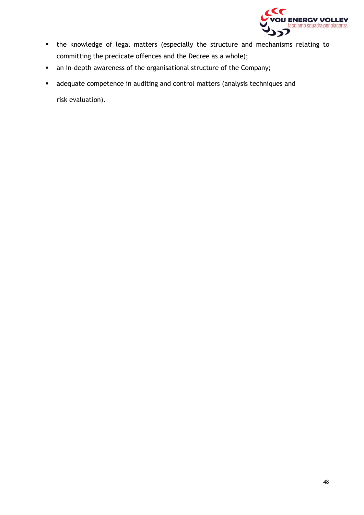

- the knowledge of legal matters (especially the structure and mechanisms relating to committing the predicate offences and the Decree as a whole);
- an in-depth awareness of the organisational structure of the Company;
- adequate competence in auditing and control matters (analysis techniques and risk evaluation).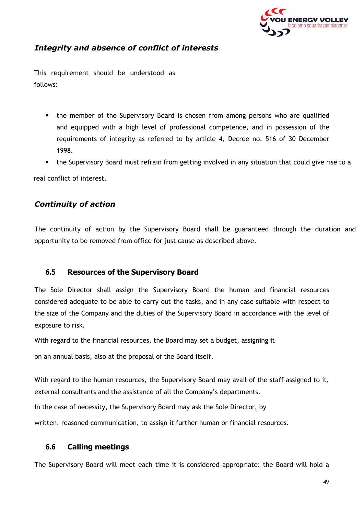

#### *Integrity and absence of conflict of interests*

This requirement should be understood as follows:

- **.** the member of the Supervisory Board is chosen from among persons who are qualified and equipped with a high level of professional competence, and in possession of the requirements of integrity as referred to by article 4, Decree no. 516 of 30 December 1998.
- the Supervisory Board must refrain from getting involved in any situation that could give rise to a

real conflict of interest.

#### *Continuity of action*

The continuity of action by the Supervisory Board shall be guaranteed through the duration and opportunity to be removed from office for just cause as described above.

#### **6.5 Resources of the Supervisory Board**

<span id="page-48-0"></span>The Sole Director shall assign the Supervisory Board the human and financial resources considered adequate to be able to carry out the tasks, and in any case suitable with respect to the size of the Company and the duties of the Supervisory Board in accordance with the level of exposure to risk.

With regard to the financial resources, the Board may set a budget, assigning it

on an annual basis, also at the proposal of the Board itself.

With regard to the human resources, the Supervisory Board may avail of the staff assigned to it, external consultants and the assistance of all the Company's departments.

In the case of necessity, the Supervisory Board may ask the Sole Director, by

written, reasoned communication, to assign it further human or financial resources.

#### **6.6 Calling meetings**

<span id="page-48-1"></span>The Supervisory Board will meet each time it is considered appropriate: the Board will hold a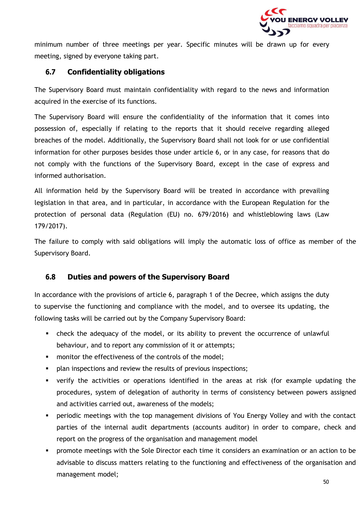

minimum number of three meetings per year. Specific minutes will be drawn up for every meeting, signed by everyone taking part.

#### **6.7 Confidentiality obligations**

<span id="page-49-0"></span>The Supervisory Board must maintain confidentiality with regard to the news and information acquired in the exercise of its functions.

The Supervisory Board will ensure the confidentiality of the information that it comes into possession of, especially if relating to the reports that it should receive regarding alleged breaches of the model. Additionally, the Supervisory Board shall not look for or use confidential information for other purposes besides those under article 6, or in any case, for reasons that do not comply with the functions of the Supervisory Board, except in the case of express and informed authorisation.

All information held by the Supervisory Board will be treated in accordance with prevailing legislation in that area, and in particular, in accordance with the European Regulation for the protection of personal data (Regulation (EU) no. 679/2016) and whistleblowing laws (Law 179/2017).

The failure to comply with said obligations will imply the automatic loss of office as member of the Supervisory Board.

#### **6.8 Duties and powers of the Supervisory Board**

<span id="page-49-1"></span>In accordance with the provisions of article 6, paragraph 1 of the Decree, which assigns the duty to supervise the functioning and compliance with the model, and to oversee its updating, the following tasks will be carried out by the Company Supervisory Board:

- **EXP** check the adequacy of the model, or its ability to prevent the occurrence of unlawful behaviour, and to report any commission of it or attempts;
- monitor the effectiveness of the controls of the model;
- **•** plan inspections and review the results of previous inspections;
- verify the activities or operations identified in the areas at risk (for example updating the procedures, system of delegation of authority in terms of consistency between powers assigned and activities carried out, awareness of the models;
- **•** periodic meetings with the top management divisions of You Energy Volley and with the contact parties of the internal audit departments (accounts auditor) in order to compare, check and report on the progress of the organisation and management model
- **•** promote meetings with the Sole Director each time it considers an examination or an action to be advisable to discuss matters relating to the functioning and effectiveness of the organisation and management model;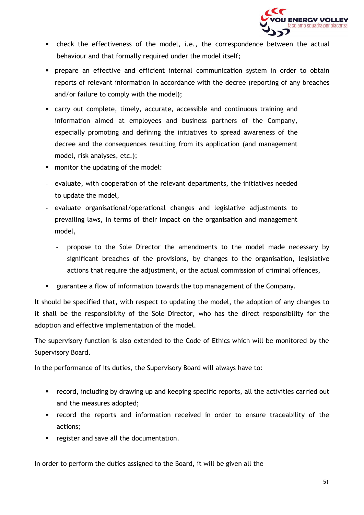

- check the effectiveness of the model, i.e., the correspondence between the actual behaviour and that formally required under the model itself;
- prepare an effective and efficient internal communication system in order to obtain reports of relevant information in accordance with the decree (reporting of any breaches and/or failure to comply with the model);
- carry out complete, timely, accurate, accessible and continuous training and information aimed at employees and business partners of the Company, especially promoting and defining the initiatives to spread awareness of the decree and the consequences resulting from its application (and management model, risk analyses, etc.);
- monitor the updating of the model:
- evaluate, with cooperation of the relevant departments, the initiatives needed to update the model,
- evaluate organisational/operational changes and legislative adjustments to prevailing laws, in terms of their impact on the organisation and management model,
	- propose to the Sole Director the amendments to the model made necessary by significant breaches of the provisions, by changes to the organisation, legislative actions that require the adjustment, or the actual commission of criminal offences,
- guarantee a flow of information towards the top management of the Company.

It should be specified that, with respect to updating the model, the adoption of any changes to it shall be the responsibility of the Sole Director, who has the direct responsibility for the adoption and effective implementation of the model.

The supervisory function is also extended to the Code of Ethics which will be monitored by the Supervisory Board.

In the performance of its duties, the Supervisory Board will always have to:

- record, including by drawing up and keeping specific reports, all the activities carried out and the measures adopted;
- record the reports and information received in order to ensure traceability of the actions;
- register and save all the documentation.

In order to perform the duties assigned to the Board, it will be given all the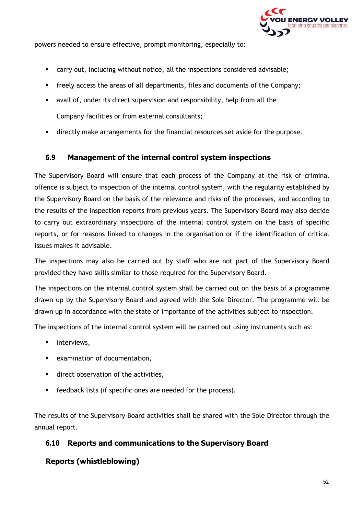

powers needed to ensure effective, prompt monitoring, especially to:

- carry out, including without notice, all the inspections considered advisable;
- freely access the areas of all departments, files and documents of the Company;
- avail of, under its direct supervision and responsibility, help from all the Company facilities or from external consultants;
- directly make arrangements for the financial resources set aside for the purpose.

#### **6.9 Management of the internal control system inspections**

<span id="page-51-0"></span>The Supervisory Board will ensure that each process of the Company at the risk of criminal offence is subject to inspection of the internal control system, with the regularity established by the Supervisory Board on the basis of the relevance and risks of the processes, and according to the results of the inspection reports from previous years. The Supervisory Board may also decide to carry out extraordinary inspections of the internal control system on the basis of specific reports, or for reasons linked to changes in the organisation or if the identification of critical issues makes it advisable.

The inspections may also be carried out by staff who are not part of the Supervisory Board provided they have skills similar to those required for the Supervisory Board.

The inspections on the internal control system shall be carried out on the basis of a programme drawn up by the Supervisory Board and agreed with the Sole Director. The programme will be drawn up in accordance with the state of importance of the activities subject to inspection.

The inspections of the internal control system will be carried out using instruments such as:

- interviews,
- examination of documentation,
- **■** direct observation of the activities,
- feedback lists (if specific ones are needed for the process).

<span id="page-51-1"></span>The results of the Supervisory Board activities shall be shared with the Sole Director through the annual report.

#### **6.10 Reports and communications to the Supervisory Board**

#### **Reports (whistleblowing)**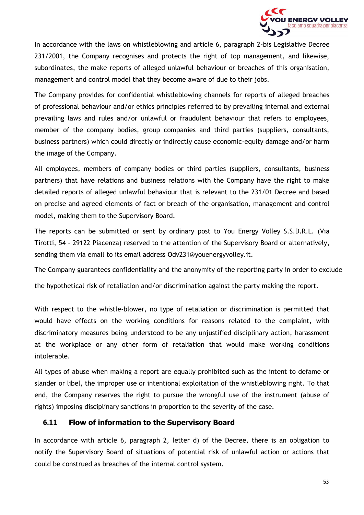

In accordance with the laws on whistleblowing and article 6, paragraph 2-bis Legislative Decree 231/2001, the Company recognises and protects the right of top management, and likewise, subordinates, the make reports of alleged unlawful behaviour or breaches of this organisation, management and control model that they become aware of due to their jobs.

The Company provides for confidential whistleblowing channels for reports of alleged breaches of professional behaviour and/or ethics principles referred to by prevailing internal and external prevailing laws and rules and/or unlawful or fraudulent behaviour that refers to employees, member of the company bodies, group companies and third parties (suppliers, consultants, business partners) which could directly or indirectly cause economic-equity damage and/or harm the image of the Company.

All employees, members of company bodies or third parties (suppliers, consultants, business partners) that have relations and business relations with the Company have the right to make detailed reports of alleged unlawful behaviour that is relevant to the 231/01 Decree and based on precise and agreed elements of fact or breach of the organisation, management and control model, making them to the Supervisory Board.

The reports can be submitted or sent by ordinary post to You Energy Volley S.S.D.R.L. (Via Tirotti, 54 - 29122 Piacenza) reserved to the attention of the Supervisory Board or alternatively, sending them via email to its email address [Odv231@youenergyvolley.it.](mailto:Odv231@youenergyvolley.it)

The Company guarantees confidentiality and the anonymity of the reporting party in order to exclude

the hypothetical risk of retaliation and/or discrimination against the party making the report.

With respect to the whistle-blower, no type of retaliation or discrimination is permitted that would have effects on the working conditions for reasons related to the complaint, with discriminatory measures being understood to be any unjustified disciplinary action, harassment at the workplace or any other form of retaliation that would make working conditions intolerable.

All types of abuse when making a report are equally prohibited such as the intent to defame or slander or libel, the improper use or intentional exploitation of the whistleblowing right. To that end, the Company reserves the right to pursue the wrongful use of the instrument (abuse of rights) imposing disciplinary sanctions in proportion to the severity of the case.

#### **6.11 Flow of information to the Supervisory Board**

<span id="page-52-0"></span>In accordance with article 6, paragraph 2, letter d) of the Decree, there is an obligation to notify the Supervisory Board of situations of potential risk of unlawful action or actions that could be construed as breaches of the internal control system.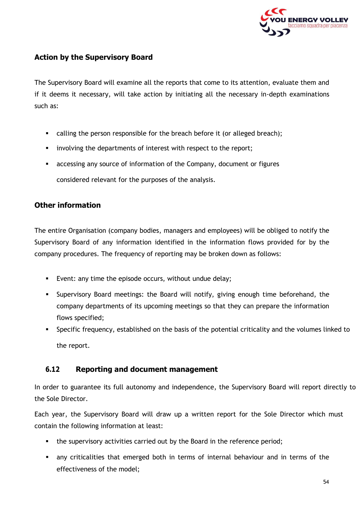

#### **Action by the Supervisory Board**

The Supervisory Board will examine all the reports that come to its attention, evaluate them and if it deems it necessary, will take action by initiating all the necessary in-depth examinations such as:

- calling the person responsible for the breach before it (or alleged breach);
- **.** involving the departments of interest with respect to the report;
- **E** accessing any source of information of the Company, document or figures considered relevant for the purposes of the analysis.

#### **Other information**

The entire Organisation (company bodies, managers and employees) will be obliged to notify the Supervisory Board of any information identified in the information flows provided for by the company procedures. The frequency of reporting may be broken down as follows:

- Event: any time the episode occurs, without undue delay;
- Supervisory Board meetings: the Board will notify, giving enough time beforehand, the company departments of its upcoming meetings so that they can prepare the information flows specified;
- Specific frequency, established on the basis of the potential criticality and the volumes linked to the report.

#### **6.12 Reporting and document management**

<span id="page-53-0"></span>In order to guarantee its full autonomy and independence, the Supervisory Board will report directly to the Sole Director.

Each year, the Supervisory Board will draw up a written report for the Sole Director which must contain the following information at least:

- the supervisory activities carried out by the Board in the reference period;
- **■** any criticalities that emerged both in terms of internal behaviour and in terms of the effectiveness of the model;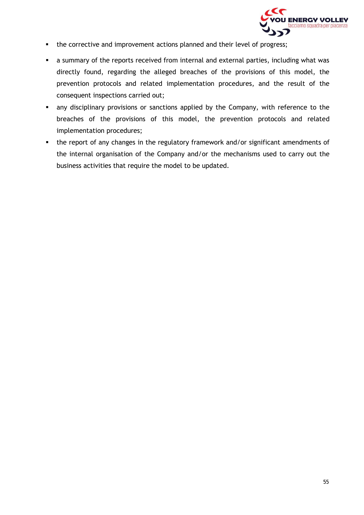

- **•** the corrective and improvement actions planned and their level of progress;
- **EXTER** a summary of the reports received from internal and external parties, including what was directly found, regarding the alleged breaches of the provisions of this model, the prevention protocols and related implementation procedures, and the result of the consequent inspections carried out;
- **EXECT** any disciplinary provisions or sanctions applied by the Company, with reference to the breaches of the provisions of this model, the prevention protocols and related implementation procedures;
- the report of any changes in the regulatory framework and/or significant amendments of the internal organisation of the Company and/or the mechanisms used to carry out the business activities that require the model to be updated.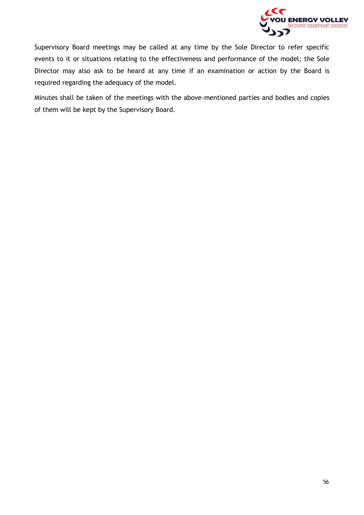

Supervisory Board meetings may be called at any time by the Sole Director to refer specific events to it or situations relating to the effectiveness and performance of the model; the Sole Director may also ask to be heard at any time if an examination or action by the Board is required regarding the adequacy of the model.

Minutes shall be taken of the meetings with the above-mentioned parties and bodies and copies of them will be kept by the Supervisory Board.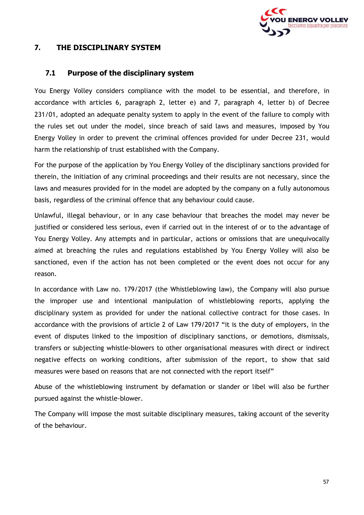

#### <span id="page-56-0"></span>**7. THE DISCIPLINARY SYSTEM**

#### **7.1 Purpose of the disciplinary system**

<span id="page-56-1"></span>You Energy Volley considers compliance with the model to be essential, and therefore, in accordance with articles 6, paragraph 2, letter e) and 7, paragraph 4, letter b) of Decree 231/01, adopted an adequate penalty system to apply in the event of the failure to comply with the rules set out under the model, since breach of said laws and measures, imposed by You Energy Volley in order to prevent the criminal offences provided for under Decree 231, would harm the relationship of trust established with the Company.

For the purpose of the application by You Energy Volley of the disciplinary sanctions provided for therein, the initiation of any criminal proceedings and their results are not necessary, since the laws and measures provided for in the model are adopted by the company on a fully autonomous basis, regardless of the criminal offence that any behaviour could cause.

Unlawful, illegal behaviour, or in any case behaviour that breaches the model may never be justified or considered less serious, even if carried out in the interest of or to the advantage of You Energy Volley. Any attempts and in particular, actions or omissions that are unequivocally aimed at breaching the rules and regulations established by You Energy Volley will also be sanctioned, even if the action has not been completed or the event does not occur for any reason.

In accordance with Law no. 179/2017 (the Whistleblowing law), the Company will also pursue the improper use and intentional manipulation of whistleblowing reports, applying the disciplinary system as provided for under the national collective contract for those cases. In accordance with the provisions of article 2 of Law 179/2017 "it is the duty of employers, in the event of disputes linked to the imposition of disciplinary sanctions, or demotions, dismissals, transfers or subjecting whistle-blowers to other organisational measures with direct or indirect negative effects on working conditions, after submission of the report, to show that said measures were based on reasons that are not connected with the report itself"

Abuse of the whistleblowing instrument by defamation or slander or libel will also be further pursued against the whistle-blower.

The Company will impose the most suitable disciplinary measures, taking account of the severity of the behaviour.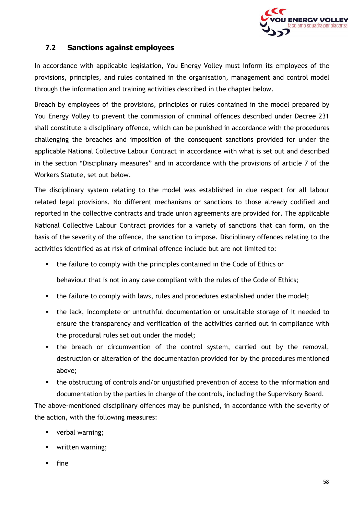

#### **7.2 Sanctions against employees**

<span id="page-57-0"></span>In accordance with applicable legislation, You Energy Volley must inform its employees of the provisions, principles, and rules contained in the organisation, management and control model through the information and training activities described in the chapter below.

Breach by employees of the provisions, principles or rules contained in the model prepared by You Energy Volley to prevent the commission of criminal offences described under Decree 231 shall constitute a disciplinary offence, which can be punished in accordance with the procedures challenging the breaches and imposition of the consequent sanctions provided for under the applicable National Collective Labour Contract in accordance with what is set out and described in the section "Disciplinary measures" and in accordance with the provisions of article 7 of the Workers Statute, set out below.

The disciplinary system relating to the model was established in due respect for all labour related legal provisions. No different mechanisms or sanctions to those already codified and reported in the collective contracts and trade union agreements are provided for. The applicable National Collective Labour Contract provides for a variety of sanctions that can form, on the basis of the severity of the offence, the sanction to impose. Disciplinary offences relating to the activities identified as at risk of criminal offence include but are not limited to:

■ the failure to comply with the principles contained in the Code of Ethics or

behaviour that is not in any case compliant with the rules of the Code of Ethics;

- the failure to comply with laws, rules and procedures established under the model;
- the lack, incomplete or untruthful documentation or unsuitable storage of it needed to ensure the transparency and verification of the activities carried out in compliance with the procedural rules set out under the model;
- the breach or circumvention of the control system, carried out by the removal, destruction or alteration of the documentation provided for by the procedures mentioned above;
- the obstructing of controls and/or unjustified prevention of access to the information and documentation by the parties in charge of the controls, including the Supervisory Board.

The above-mentioned disciplinary offences may be punished, in accordance with the severity of the action, with the following measures:

- verbal warning;
- written warning;
- fine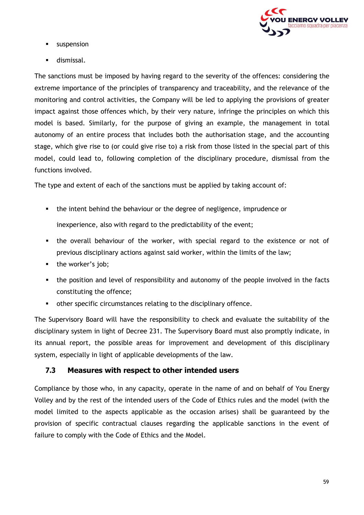

- **■** suspension
- dismissal.

The sanctions must be imposed by having regard to the severity of the offences: considering the extreme importance of the principles of transparency and traceability, and the relevance of the monitoring and control activities, the Company will be led to applying the provisions of greater impact against those offences which, by their very nature, infringe the principles on which this model is based. Similarly, for the purpose of giving an example, the management in total autonomy of an entire process that includes both the authorisation stage, and the accounting stage, which give rise to (or could give rise to) a risk from those listed in the special part of this model, could lead to, following completion of the disciplinary procedure, dismissal from the functions involved.

The type and extent of each of the sanctions must be applied by taking account of:

- the intent behind the behaviour or the degree of negligence, imprudence or inexperience, also with regard to the predictability of the event;
- **.** the overall behaviour of the worker, with special regard to the existence or not of previous disciplinary actions against said worker, within the limits of the law;
- the worker's job;
- the position and level of responsibility and autonomy of the people involved in the facts constituting the offence;
- other specific circumstances relating to the disciplinary offence.

The Supervisory Board will have the responsibility to check and evaluate the suitability of the disciplinary system in light of Decree 231. The Supervisory Board must also promptly indicate, in its annual report, the possible areas for improvement and development of this disciplinary system, especially in light of applicable developments of the law.

#### **7.3 Measures with respect to other intended users**

<span id="page-58-0"></span>Compliance by those who, in any capacity, operate in the name of and on behalf of You Energy Volley and by the rest of the intended users of the Code of Ethics rules and the model (with the model limited to the aspects applicable as the occasion arises) shall be guaranteed by the provision of specific contractual clauses regarding the applicable sanctions in the event of failure to comply with the Code of Ethics and the Model.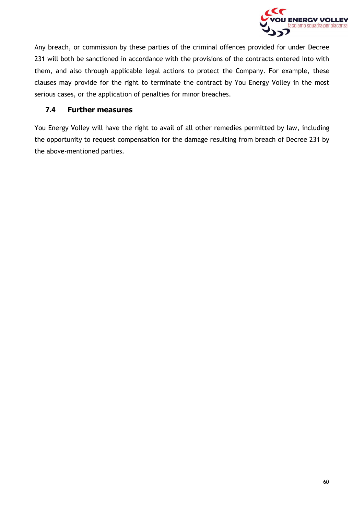

Any breach, or commission by these parties of the criminal offences provided for under Decree 231 will both be sanctioned in accordance with the provisions of the contracts entered into with them, and also through applicable legal actions to protect the Company. For example, these clauses may provide for the right to terminate the contract by You Energy Volley in the most serious cases, or the application of penalties for minor breaches.

#### **7.4 Further measures**

<span id="page-59-0"></span>You Energy Volley will have the right to avail of all other remedies permitted by law, including the opportunity to request compensation for the damage resulting from breach of Decree 231 by the above-mentioned parties.